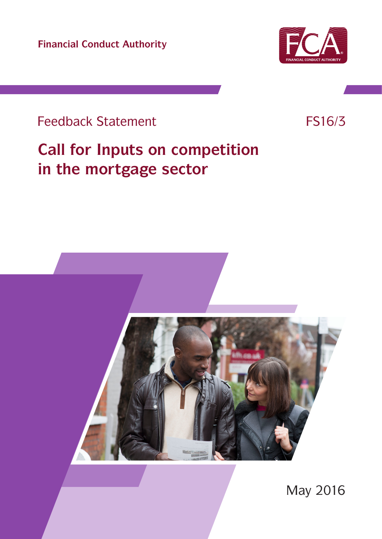**Financial Conduct Authority**



## Feedback Statement FS16/3

# **Call for Inputs on competition in the mortgage sector**



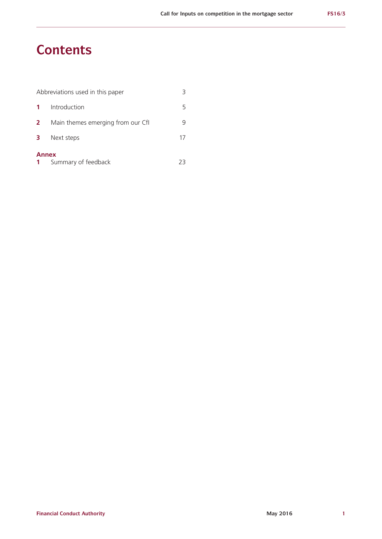### **Contents**

|             | Abbreviations used in this paper    |    |
|-------------|-------------------------------------|----|
| $\mathbf 1$ | Introduction                        | 5  |
| 2           | Main themes emerging from our CfI   |    |
| 3           | Next steps                          | 17 |
| $1 -$       | <b>Annex</b><br>Summary of feedback | 23 |

**Financial Conduct Authority May 2016 May 2016 1**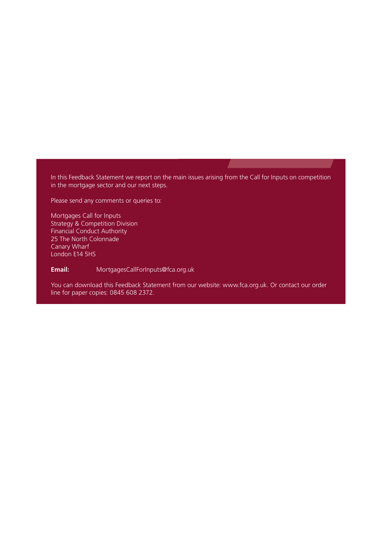In this Feedback Statement we report on the main issues arising from the Call for Inputs on competition in the mortgage sector and our next steps.

Please send any comments or queries to:

Mortgages Call for Inputs Strategy & Competition Division Financial Conduct Authority 25 The North Colonnade Canary Wharf London E14 5HS

**Email:** MortgagesCallForInputs@fca.org.uk

You can download this Feedback Statement from our website: www.fca.org.uk. Or contact our order line for paper copies: 0845 608 2372.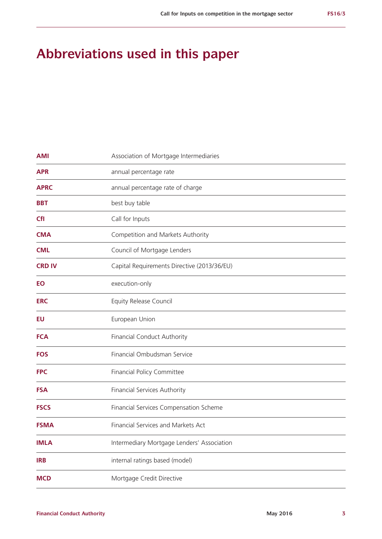# **Abbreviations used in this paper**

| <b>AMI</b>    | Association of Mortgage Intermediaries      |
|---------------|---------------------------------------------|
| <b>APR</b>    | annual percentage rate                      |
| <b>APRC</b>   | annual percentage rate of charge            |
| <b>BBT</b>    | best buy table                              |
| CfI           | Call for Inputs                             |
| <b>CMA</b>    | Competition and Markets Authority           |
| <b>CML</b>    | Council of Mortgage Lenders                 |
| <b>CRD IV</b> | Capital Requirements Directive (2013/36/EU) |
| ΕO            | execution-only                              |
| <b>ERC</b>    | Equity Release Council                      |
| ΕU            | European Union                              |
| <b>FCA</b>    | Financial Conduct Authority                 |
| <b>FOS</b>    | Financial Ombudsman Service                 |
| <b>FPC</b>    | Financial Policy Committee                  |
| <b>FSA</b>    | Financial Services Authority                |
| <b>FSCS</b>   | Financial Services Compensation Scheme      |
| <b>FSMA</b>   | Financial Services and Markets Act          |
| <b>IMLA</b>   | Intermediary Mortgage Lenders' Association  |
| <b>IRB</b>    | internal ratings based (model)              |
| <b>MCD</b>    | Mortgage Credit Directive                   |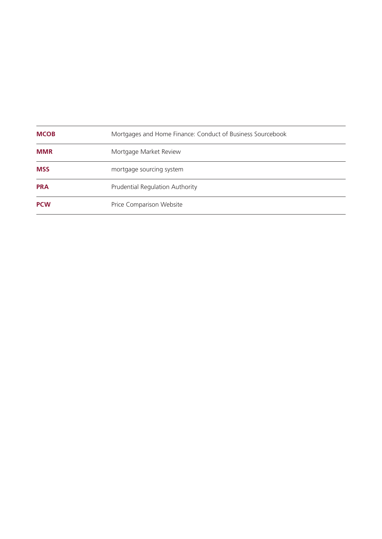| <b>MCOB</b> | Mortgages and Home Finance: Conduct of Business Sourcebook |
|-------------|------------------------------------------------------------|
| <b>MMR</b>  | Mortgage Market Review                                     |
| <b>MSS</b>  | mortgage sourcing system                                   |
| <b>PRA</b>  | Prudential Regulation Authority                            |
| <b>PCW</b>  | Price Comparison Website                                   |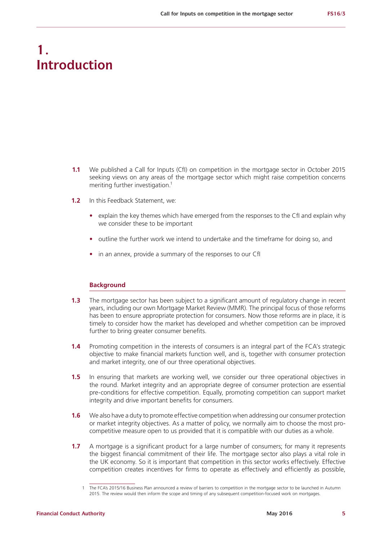### **1. Introduction**

- **1.1** We published a Call for Inputs (CfI) on competition in the mortgage sector in October 2015 seeking views on any areas of the mortgage sector which might raise competition concerns meriting further investigation.<sup>1</sup>
- **1.2** In this Feedback Statement, we:
	- **•** explain the key themes which have emerged from the responses to the CfI and explain why we consider these to be important
	- **•** outline the further work we intend to undertake and the timeframe for doing so, and
	- **•** in an annex, provide a summary of the responses to our CfI

#### **Background**

- **1.3** The mortgage sector has been subject to a significant amount of regulatory change in recent years, including our own Mortgage Market Review (MMR). The principal focus of those reforms has been to ensure appropriate protection for consumers. Now those reforms are in place, it is timely to consider how the market has developed and whether competition can be improved further to bring greater consumer benefits.
- **1.4** Promoting competition in the interests of consumers is an integral part of the FCA's strategic objective to make financial markets function well, and is, together with consumer protection and market integrity, one of our three operational objectives.
- **1.5** In ensuring that markets are working well, we consider our three operational objectives in the round. Market integrity and an appropriate degree of consumer protection are essential pre-conditions for effective competition. Equally, promoting competition can support market integrity and drive important benefits for consumers.
- **1.6** We also have a duty to promote effective competition when addressing our consumer protection or market integrity objectives. As a matter of policy, we normally aim to choose the most procompetitive measure open to us provided that it is compatible with our duties as a whole.
- **1.7** A mortgage is a significant product for a large number of consumers; for many it represents the biggest financial commitment of their life. The mortgage sector also plays a vital role in the UK economy. So it is important that competition in this sector works effectively. Effective competition creates incentives for firms to operate as effectively and efficiently as possible,

<sup>1</sup> The FCA's 2015/16 Business Plan announced a review of barriers to competition in the mortgage sector to be launched in Autumn 2015. The review would then inform the scope and timing of any subsequent competition-focused work on mortgages.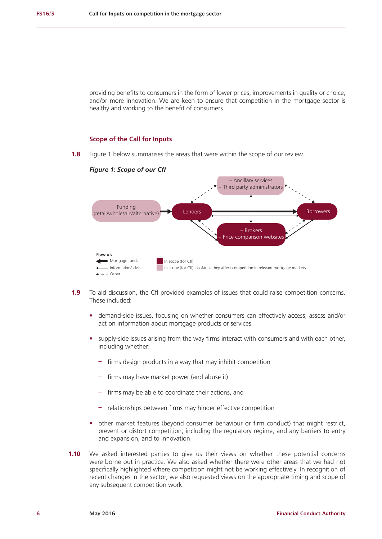providing benefits to consumers in the form of lower prices, improvements in quality or choice, and/or more innovation. We are keen to ensure that competition in the mortgage sector is healthy and working to the benefit of consumers.

#### **Scope of the Call for Inputs**

**1.8** Figure 1 below summarises the areas that were within the scope of our review.



*Figure 1: Scope of our CfI*

- **1.9** To aid discussion, the CfI provided examples of issues that could raise competition concerns. These included:
	- **•** demand-side issues, focusing on whether consumers can effectively access, assess and/or act on information about mortgage products or services
	- **•** supply-side issues arising from the way firms interact with consumers and with each other, including whether:
		- **–** firms design products in a way that may inhibit competition
		- **–** firms may have market power (and abuse it)
		- **–** firms may be able to coordinate their actions, and
		- **–** relationships between firms may hinder effective competition
	- **•** other market features (beyond consumer behaviour or firm conduct) that might restrict, prevent or distort competition, including the regulatory regime, and any barriers to entry and expansion, and to innovation
- **1.10** We asked interested parties to give us their views on whether these potential concerns were borne out in practice. We also asked whether there were other areas that we had not specifically highlighted where competition might not be working effectively. In recognition of recent changes in the sector, we also requested views on the appropriate timing and scope of any subsequent competition work.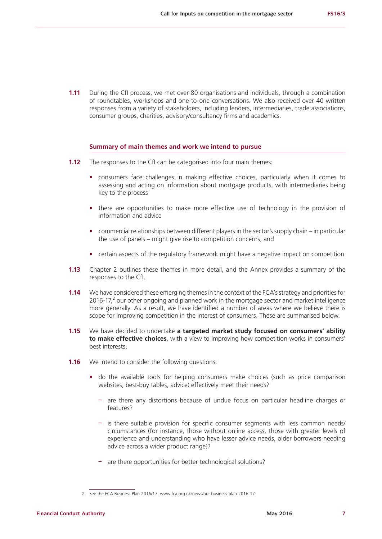**1.11** During the CfI process, we met over 80 organisations and individuals, through a combination of roundtables, workshops and one-to-one conversations. We also received over 40 written responses from a variety of stakeholders, including lenders, intermediaries, trade associations, consumer groups, charities, advisory/consultancy firms and academics.

#### **Summary of main themes and work we intend to pursue**

- **1.12** The responses to the CfI can be categorised into four main themes:
	- **•** consumers face challenges in making effective choices, particularly when it comes to assessing and acting on information about mortgage products, with intermediaries being key to the process
	- there are opportunities to make more effective use of technology in the provision of information and advice
	- **•** commercial relationships between different players in the sector's supply chain in particular the use of panels – might give rise to competition concerns, and
	- **•** certain aspects of the regulatory framework might have a negative impact on competition
- **1.13** Chapter 2 outlines these themes in more detail, and the Annex provides a summary of the responses to the CfI.
- **1.14** We have considered these emerging themes in the context of the FCA's strategy and priorities for  $2016-17$ ,<sup>2</sup> our other ongoing and planned work in the mortgage sector and market intelligence more generally. As a result, we have identified a number of areas where we believe there is scope for improving competition in the interest of consumers. These are summarised below.
- **1.15** We have decided to undertake **a targeted market study focused on consumers' ability to make effective choices**, with a view to improving how competition works in consumers' best interests.
- **1.16** We intend to consider the following questions:
	- do the available tools for helping consumers make choices (such as price comparison websites, best-buy tables, advice) effectively meet their needs?
		- **–** are there any distortions because of undue focus on particular headline charges or features?
		- **–** is there suitable provision for specific consumer segments with less common needs/ circumstances (for instance, those without online access, those with greater levels of experience and understanding who have lesser advice needs, older borrowers needing advice across a wider product range)?
		- **–** are there opportunities for better technological solutions?

<sup>2</sup> See the FCA Business Plan 2016/17:<www.fca.org.uk/news/our-business-plan-2016-17>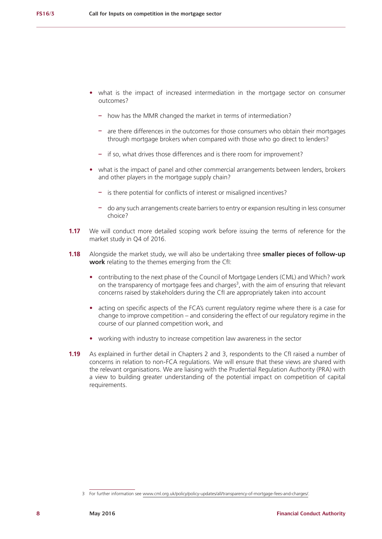- **•** what is the impact of increased intermediation in the mortgage sector on consumer outcomes?
	- **–** how has the MMR changed the market in terms of intermediation?
	- **–** are there differences in the outcomes for those consumers who obtain their mortgages through mortgage brokers when compared with those who go direct to lenders?
	- **–** if so, what drives those differences and is there room for improvement?
- **•** what is the impact of panel and other commercial arrangements between lenders, brokers and other players in the mortgage supply chain?
	- **–** is there potential for conflicts of interest or misaligned incentives?
	- **–** do any such arrangements create barriers to entry or expansion resulting in less consumer choice?
- **1.17** We will conduct more detailed scoping work before issuing the terms of reference for the market study in Q4 of 2016.
- **1.18** Alongside the market study, we will also be undertaking three **smaller pieces of follow-up work** relating to the themes emerging from the CfI:
	- **•** contributing to the next phase of the Council of Mortgage Lenders (CML) and Which? work on the transparency of mortgage fees and charges<sup>3</sup>, with the aim of ensuring that relevant concerns raised by stakeholders during the CfI are appropriately taken into account
	- **•** acting on specific aspects of the FCA's current regulatory regime where there is a case for change to improve competition – and considering the effect of our regulatory regime in the course of our planned competition work, and
	- **•** working with industry to increase competition law awareness in the sector
- **1.19** As explained in further detail in Chapters 2 and 3, respondents to the CfI raised a number of concerns in relation to non-FCA regulations. We will ensure that these views are shared with the relevant organisations. We are liaising with the Prudential Regulation Authority (PRA) with a view to building greater understanding of the potential impact on competition of capital requirements.

<sup>3</sup> For further information see <www.cml.org.uk/policy/policy-updates/all/transparency-of-mortgage-fees-and-charges/>.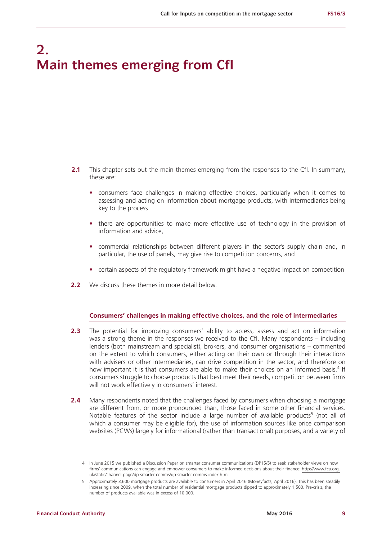### **2. Main themes emerging from CfI**

- **2.1** This chapter sets out the main themes emerging from the responses to the CfI. In summary, these are:
	- **•** consumers face challenges in making effective choices, particularly when it comes to assessing and acting on information about mortgage products, with intermediaries being key to the process
	- **•** there are opportunities to make more effective use of technology in the provision of information and advice,
	- **•** commercial relationships between different players in the sector's supply chain and, in particular, the use of panels, may give rise to competition concerns, and
	- **•** certain aspects of the regulatory framework might have a negative impact on competition
- **2.2** We discuss these themes in more detail below.

#### **Consumers' challenges in making effective choices, and the role of intermediaries**

- **2.3** The potential for improving consumers' ability to access, assess and act on information was a strong theme in the responses we received to the CfI. Many respondents – including lenders (both mainstream and specialist), brokers, and consumer organisations – commented on the extent to which consumers, either acting on their own or through their interactions with advisers or other intermediaries, can drive competition in the sector, and therefore on how important it is that consumers are able to make their choices on an informed basis.<sup>4</sup> If consumers struggle to choose products that best meet their needs, competition between firms will not work effectively in consumers' interest.
- **2.4** Many respondents noted that the challenges faced by consumers when choosing a mortgage are different from, or more pronounced than, those faced in some other financial services. Notable features of the sector include a large number of available products<sup>5</sup> (not all of which a consumer may be eligible for), the use of information sources like price comparison websites (PCWs) largely for informational (rather than transactional) purposes, and a variety of

<sup>4</sup> In June 2015 we published a Discussion Paper on smarter consumer communications (DP15/5) to seek stakeholder views on how firms' communications can engage and empower consumers to make informed decisions about their finance: [http://www.fca.org.](http://www.fca.org.uk/static/channel-page/dp-smarter-comms/dp-smarter-comms-index.html) [uk/static/channel-page/dp-smarter-comms/dp-smarter-comms-index.html](http://www.fca.org.uk/static/channel-page/dp-smarter-comms/dp-smarter-comms-index.html)

<sup>5</sup> Approximately 3,600 mortgage products are available to consumers in April 2016 (Moneyfacts, April 2016). This has been steadily increasing since 2009, when the total number of residential mortgage products dipped to approximately 1,500. Pre-crisis, the number of products available was in excess of 10,000.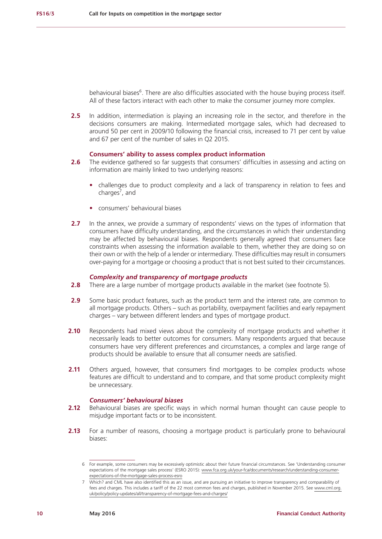behavioural biases<sup>6</sup>. There are also difficulties associated with the house buying process itself. All of these factors interact with each other to make the consumer journey more complex.

**2.5** In addition, intermediation is playing an increasing role in the sector, and therefore in the decisions consumers are making. Intermediated mortgage sales, which had decreased to around 50 per cent in 2009/10 following the financial crisis, increased to 71 per cent by value and 67 per cent of the number of sales in Q2 2015.

#### **Consumers' ability to assess complex product information**

- **2.6** The evidence gathered so far suggests that consumers' difficulties in assessing and acting on information are mainly linked to two underlying reasons:
	- **•** challenges due to product complexity and a lack of transparency in relation to fees and charges<sup>7</sup>, and
	- **•** consumers' behavioural biases
- **2.7** In the annex, we provide a summary of respondents' views on the types of information that consumers have difficulty understanding, and the circumstances in which their understanding may be affected by behavioural biases. Respondents generally agreed that consumers face constraints when assessing the information available to them, whether they are doing so on their own or with the help of a lender or intermediary. These difficulties may result in consumers over-paying for a mortgage or choosing a product that is not best suited to their circumstances.

#### *Complexity and transparency of mortgage products*

- **2.8** There are a large number of mortgage products available in the market (see footnote 5).
- **2.9** Some basic product features, such as the product term and the interest rate, are common to all mortgage products. Others – such as portability, overpayment facilities and early repayment charges – vary between different lenders and types of mortgage product.
- **2.10** Respondents had mixed views about the complexity of mortgage products and whether it necessarily leads to better outcomes for consumers. Many respondents argued that because consumers have very different preferences and circumstances, a complex and large range of products should be available to ensure that all consumer needs are satisfied.
- **2.11** Others argued, however, that consumers find mortgages to be complex products whose features are difficult to understand and to compare, and that some product complexity might be unnecessary.

#### *Consumers' behavioural biases*

- **2.12** Behavioural biases are specific ways in which normal human thought can cause people to misjudge important facts or to be inconsistent.
- **2.13** For a number of reasons, choosing a mortgage product is particularly prone to behavioural biases:

<sup>6</sup> For example, some consumers may be excessively optimistic about their future financial circumstances. See 'Understanding consumer expectations of the mortgage sales process' (ESRO 2015): [www.fca.org.uk/your-fca/documents/research/understanding-consumer](www.fca.org.uk/your-fca/documents/research/understanding-consumer-expectations-of-the-mortgage-sales-process-esro)[expectations-of-the-mortgage-sales-process-esro](www.fca.org.uk/your-fca/documents/research/understanding-consumer-expectations-of-the-mortgage-sales-process-esro)

<sup>7</sup> Which? and CML have also identified this as an issue, and are pursuing an initiative to improve transparency and comparability of fees and charges. This includes a tariff of the 22 most common fees and charges, published in November 2015. See [www.cml.org.](www.cml.org.uk/policy/policy-updates/all/transparency-of-mortgage-fees-and-charges/) [uk/policy/policy-updates/all/transparency-of-mortgage-fees-and-charges/](www.cml.org.uk/policy/policy-updates/all/transparency-of-mortgage-fees-and-charges/)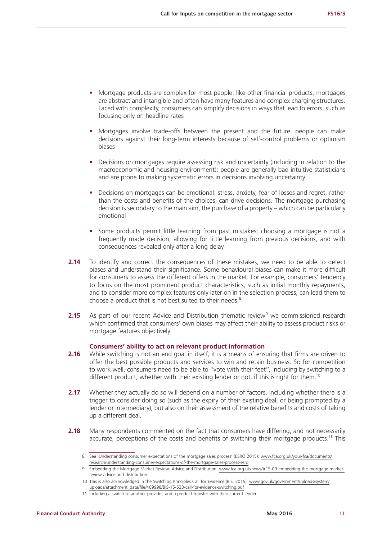- **•** Mortgage products are complex for most people: like other financial products, mortgages are abstract and intangible and often have many features and complex charging structures. Faced with complexity, consumers can simplify decisions in ways that lead to errors, such as focusing only on headline rates
- **•** Mortgages involve trade-offs between the present and the future: people can make decisions against their long-term interests because of self-control problems or optimism biases
- **•** Decisions on mortgages require assessing risk and uncertainty (including in relation to the macroeconomic and housing environment): people are generally bad intuitive statisticians and are prone to making systematic errors in decisions involving uncertainty
- **•** Decisions on mortgages can be emotional: stress, anxiety, fear of losses and regret, rather than the costs and benefits of the choices, can drive decisions. The mortgage purchasing decision is secondary to the main aim, the purchase of a property – which can be particularly emotional
- **•** Some products permit little learning from past mistakes: choosing a mortgage is not a frequently made decision, allowing for little learning from previous decisions, and with consequences revealed only after a long delay
- **2.14** To identify and correct the consequences of these mistakes, we need to be able to detect biases and understand their significance. Some behavioural biases can make it more difficult for consumers to assess the different offers in the market. For example, consumers' tendency to focus on the most prominent product characteristics, such as initial monthly repayments, and to consider more complex features only later on in the selection process, can lead them to choose a product that is not best suited to their needs.<sup>8</sup>
- **2.15** As part of our recent Advice and Distribution thematic review<sup>9</sup> we commissioned research which confirmed that consumers' own biases may affect their ability to assess product risks or mortgage features objectively.

#### **Consumers' ability to act on relevant product information**

- **2.16** While switching is not an end goal in itself, it is a means of ensuring that firms are driven to offer the best possible products and services to win and retain business. So for competition to work well, consumers need to be able to ''vote with their feet'', including by switching to a different product, whether with their existing lender or not, if this is right for them.<sup>10</sup>
- **2.17** Whether they actually do so will depend on a number of factors, including whether there is a trigger to consider doing so (such as the expiry of their existing deal, or being prompted by a lender or intermediary), but also on their assessment of the relative benefits and costs of taking up a different deal.
- **2.18** Many respondents commented on the fact that consumers have differing, and not necessarily accurate, perceptions of the costs and benefits of switching their mortgage products.<sup>11</sup> This

<sup>8</sup> See 'Understanding consumer expectations of the mortgage sales process' (ESRO 2015): [www.fca.org.uk/your-fca/documents/](www.fca.org.uk/your-fca/documents/research/understanding-consumer-expectations-of-the-mortgage-sales-process-esro) [research/understanding-consumer-expectations-of-the-mortgage-sales-process-esro](www.fca.org.uk/your-fca/documents/research/understanding-consumer-expectations-of-the-mortgage-sales-process-esro)

<sup>9</sup> Embedding the Mortgage Market Review: Advice and Distribution: [www.fca.org.uk/news/tr15-09-embedding-the-mortgage-market](www.fca.org.uk/news/tr15-09-embedding-the-mortgage-market-review-advice-and-distribution )[review-advice-and-distribution](www.fca.org.uk/news/tr15-09-embedding-the-mortgage-market-review-advice-and-distribution ) 

<sup>10</sup> This is also acknowledged in the Switching Principles Call for Evidence (BIS, 2015): [www.gov.uk/government/uploads/system/](www.gov.uk/government/uploads/system/uploads/attachment_data/file/469998/BIS-15-533-call-for-evidence-switching.pdf) [uploads/attachment\\_data/file/469998/BIS-15-533-call-for-evidence-switching.pdf](www.gov.uk/government/uploads/system/uploads/attachment_data/file/469998/BIS-15-533-call-for-evidence-switching.pdf)

<sup>11</sup> Including a switch to another provider, and a product transfer with their current lender.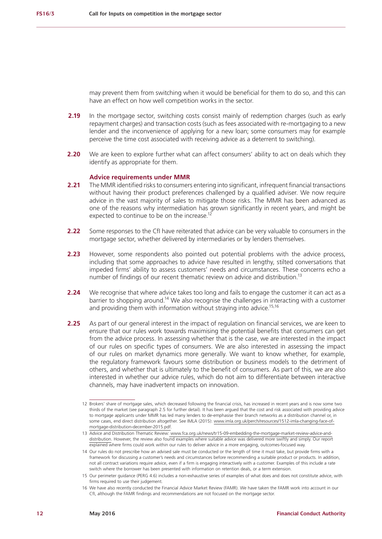may prevent them from switching when it would be beneficial for them to do so, and this can have an effect on how well competition works in the sector.

- **2.19** In the mortgage sector, switching costs consist mainly of redemption charges (such as early repayment charges) and transaction costs (such as fees associated with re-mortgaging to a new lender and the inconvenience of applying for a new loan; some consumers may for example perceive the time cost associated with receiving advice as a deterrent to switching).
- **2.20** We are keen to explore further what can affect consumers' ability to act on deals which they identify as appropriate for them.

#### **Advice requirements under MMR**

- **2.21** The MMR identified risks to consumers entering into significant, infrequent financial transactions without having their product preferences challenged by a qualified adviser. We now require advice in the vast majority of sales to mitigate those risks. The MMR has been advanced as one of the reasons why intermediation has grown significantly in recent years, and might be expected to continue to be on the increase.<sup>12</sup>
- **2.22** Some responses to the CfI have reiterated that advice can be very valuable to consumers in the mortgage sector, whether delivered by intermediaries or by lenders themselves.
- **2.23** However, some respondents also pointed out potential problems with the advice process, including that some approaches to advice have resulted in lengthy, stilted conversations that impeded firms' ability to assess customers' needs and circumstances. These concerns echo a number of findings of our recent thematic review on advice and distribution.<sup>13</sup>
- **2.24** We recognise that where advice takes too long and fails to engage the customer it can act as a barrier to shopping around.<sup>14</sup> We also recognise the challenges in interacting with a customer and providing them with information without straying into advice.<sup>15,16</sup>
- **2.25** As part of our general interest in the impact of regulation on financial services, we are keen to ensure that our rules work towards maximising the potential benefits that consumers can get from the advice process. In assessing whether that is the case, we are interested in the impact of our rules on specific types of consumers. We are also interested in assessing the impact of our rules on market dynamics more generally. We want to know whether, for example, the regulatory framework favours some distribution or business models to the detriment of others, and whether that is ultimately to the benefit of consumers. As part of this, we are also interested in whether our advice rules, which do not aim to differentiate between interactive channels, may have inadvertent impacts on innovation.

<sup>12</sup> Brokers' share of mortgage sales, which decreased following the financial crisis, has increased in recent years and is now some two thirds of the market (see paragraph 2.5 for further detail). It has been argued that the cost and risk associated with providing advice to mortgage applicants under MMR has led many lenders to de-emphasise their branch networks as a distribution channel or, in some cases, end direct distribution altogether. See IMLA (2015): [www.imla.org.uk/perch/resources/1512-imla-changing-face-of](www.imla.org.uk/perch/resources/1512-imla-changing-face-of-mortgage-distribution-december-2015.pdf)[mortgage-distribution-december-2015.pdf](www.imla.org.uk/perch/resources/1512-imla-changing-face-of-mortgage-distribution-december-2015.pdf).

<sup>13</sup> Advice and Distribution Thematic Review: [www.fca.org.uk/news/tr15-09-embedding-the-mortgage-market-review-advice-and]( www.fca.org.uk/news/tr15-09-embedding-the-mortgage-market-review-advice-and-distribution)[distribution]( www.fca.org.uk/news/tr15-09-embedding-the-mortgage-market-review-advice-and-distribution). However, the review also found examples where suitable advice was delivered more swiftly and simply. Our report explained where firms could work within our rules to deliver advice in a more engaging, outcomes-focused way.

<sup>14</sup> Our rules do not prescribe how an advised sale must be conducted or the length of time it must take, but provide firms with a framework for discussing a customer's needs and circumstances before recommending a suitable product or products. In addition, not all contract variations require advice, even if a firm is engaging interactively with a customer. Examples of this include a rate switch where the borrower has been presented with information on retention deals, or a term extension.

<sup>15</sup> Our perimeter guidance (PERG 4.6) includes a non-exhaustive series of examples of what does and does not constitute advice, with firms required to use their judgement.

<sup>16</sup> We have also recently conducted the Financial Advice Market Review (FAMR). We have taken the FAMR work into account in our CfI, although the FAMR findings and recommendations are not focused on the mortgage sector.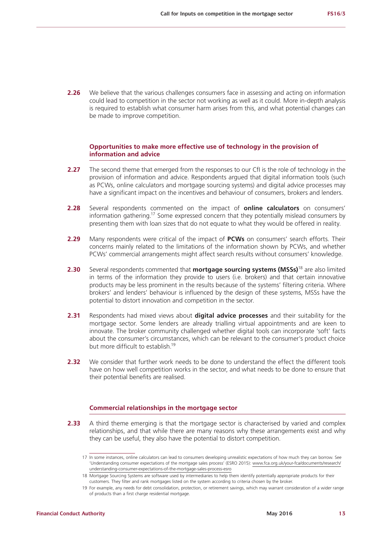**2.26** We believe that the various challenges consumers face in assessing and acting on information could lead to competition in the sector not working as well as it could. More in-depth analysis is required to establish what consumer harm arises from this, and what potential changes can be made to improve competition.

#### **Opportunities to make more effective use of technology in the provision of information and advice**

- **2.27** The second theme that emerged from the responses to our CfI is the role of technology in the provision of information and advice. Respondents argued that digital information tools (such as PCWs, online calculators and mortgage sourcing systems) and digital advice processes may have a significant impact on the incentives and behaviour of consumers, brokers and lenders.
- **2.28** Several respondents commented on the impact of **online calculators** on consumers' information gathering.17 Some expressed concern that they potentially mislead consumers by presenting them with loan sizes that do not equate to what they would be offered in reality.
- **2.29** Many respondents were critical of the impact of **PCWs** on consumers' search efforts. Their concerns mainly related to the limitations of the information shown by PCWs, and whether PCWs' commercial arrangements might affect search results without consumers' knowledge.
- **2.30** Several respondents commented that **mortgage sourcing systems (MSSs)**18 are also limited in terms of the information they provide to users (i.e. brokers) and that certain innovative products may be less prominent in the results because of the systems' filtering criteria. Where brokers' and lenders' behaviour is influenced by the design of these systems, MSSs have the potential to distort innovation and competition in the sector.
- **2.31** Respondents had mixed views about **digital advice processes** and their suitability for the mortgage sector. Some lenders are already trialling virtual appointments and are keen to innovate. The broker community challenged whether digital tools can incorporate 'soft' facts about the consumer's circumstances, which can be relevant to the consumer's product choice but more difficult to establish<sup>19</sup>
- **2.32** We consider that further work needs to be done to understand the effect the different tools have on how well competition works in the sector, and what needs to be done to ensure that their potential benefits are realised.

#### **Commercial relationships in the mortgage sector**

**2.33** A third theme emerging is that the mortgage sector is characterised by varied and complex relationships, and that while there are many reasons why these arrangements exist and why they can be useful, they also have the potential to distort competition.

<sup>17</sup> In some instances, online calculators can lead to consumers developing unrealistic expectations of how much they can borrow. See 'Understanding consumer expectations of the mortgage sales process' (ESRO 2015): [www.fca.org.uk/your-fca/documents/research/](www.fca.org.uk/your-fca/documents/research/understanding-consumer-expectations-of-the-mortgage-sales-process-esro) [understanding-consumer-expectations-of-the-mortgage-sales-process-esro](www.fca.org.uk/your-fca/documents/research/understanding-consumer-expectations-of-the-mortgage-sales-process-esro)

<sup>18</sup> Mortgage Sourcing Systems are software used by intermediaries to help them identify potentially appropriate products for their customers. They filter and rank mortgages listed on the system according to criteria chosen by the broker.

<sup>19</sup> For example, any needs for debt consolidation, protection, or retirement savings, which may warrant consideration of a wider range of products than a first charge residential mortgage.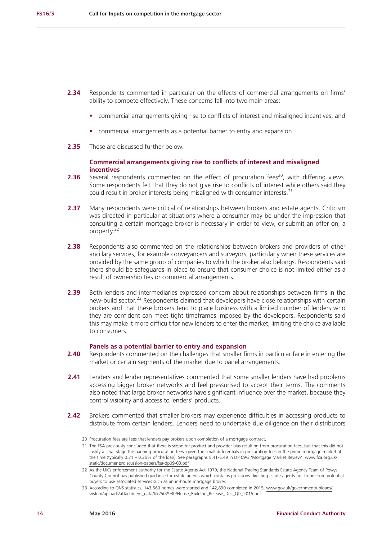- **2.34** Respondents commented in particular on the effects of commercial arrangements on firms' ability to compete effectively. These concerns fall into two main areas:
	- **•** commercial arrangements giving rise to conflicts of interest and misaligned incentives, and
	- **•** commercial arrangements as a potential barrier to entry and expansion
- **2.35** These are discussed further below.

#### **Commercial arrangements giving rise to conflicts of interest and misaligned incentives**

- **2.36** Several respondents commented on the effect of procuration fees<sup>20</sup>, with differing views. Some respondents felt that they do not give rise to conflicts of interest while others said they could result in broker interests being misaligned with consumer interests.<sup>21</sup>
- **2.37** Many respondents were critical of relationships between brokers and estate agents. Criticism was directed in particular at situations where a consumer may be under the impression that consulting a certain mortgage broker is necessary in order to view, or submit an offer on, a property.<sup>22</sup>
- **2.38** Respondents also commented on the relationships between brokers and providers of other ancillary services, for example conveyancers and surveyors, particularly when these services are provided by the same group of companies to which the broker also belongs. Respondents said there should be safeguards in place to ensure that consumer choice is not limited either as a result of ownership ties or commercial arrangements.
- **2.39** Both lenders and intermediaries expressed concern about relationships between firms in the new-build sector.<sup>23</sup> Respondents claimed that developers have close relationships with certain brokers and that these brokers tend to place business with a limited number of lenders who they are confident can meet tight timeframes imposed by the developers. Respondents said this may make it more difficult for new lenders to enter the market, limiting the choice available to consumers.

#### **Panels as a potential barrier to entry and expansion**

- **2.40** Respondents commented on the challenges that smaller firms in particular face in entering the market or certain segments of the market due to panel arrangements.
- **2.41** Lenders and lender representatives commented that some smaller lenders have had problems accessing bigger broker networks and feel pressurised to accept their terms. The comments also noted that large broker networks have significant influence over the market, because they control visibility and access to lenders' products.
- **2.42** Brokers commented that smaller brokers may experience difficulties in accessing products to distribute from certain lenders. Lenders need to undertake due diligence on their distributors

<sup>20</sup> Procuration fees are fees that lenders pay brokers upon completion of a mortgage contract.

<sup>21</sup> The FSA previously concluded that there is scope for product and provider bias resulting from procuration fees, but that this did not justify at that stage the banning procuration fees, given the small differentials in procuration fees in the prime mortgage market at the time (typically 0.31 – 0.35% of the loan). See paragraphs 5.41-5.49 in DP 09/3 'Mortgage Market Review': [www.fca.org.uk/](www.fca.org.uk/static/documents/discussion-papers/fsa-dp09-03.pdf) [static/documents/discussion-papers/fsa-dp09-03.pdf](www.fca.org.uk/static/documents/discussion-papers/fsa-dp09-03.pdf)

<sup>22</sup> As the UK's enforcement authority for the Estate Agents Act 1979, the National Trading Standards Estate Agency Team of Powys County Council has published guidance for estate agents which contains provisions directing estate agents not to pressure potential buyers to use associated services such as an in-house mortgage broker.

<sup>23</sup> According to ONS statistics, 143,560 homes were started and 142,890 completed in 2015. [www.gov.uk/government/uploads/](www.gov.uk/government/uploads/system/uploads/attachment_data/file/502930/House_Building_Release_Dec_Qtr_2015.pdf) [system/uploads/attachment\\_data/file/502930/House\\_Building\\_Release\\_Dec\\_Qtr\\_2015.pdf](www.gov.uk/government/uploads/system/uploads/attachment_data/file/502930/House_Building_Release_Dec_Qtr_2015.pdf)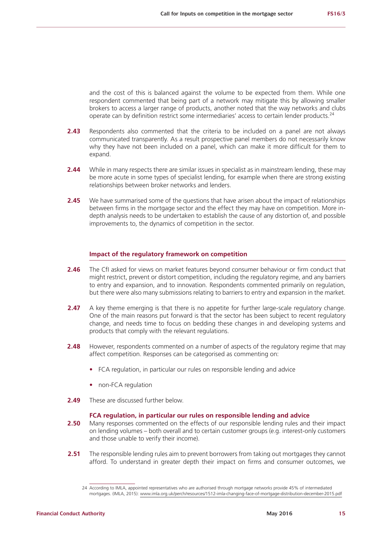and the cost of this is balanced against the volume to be expected from them. While one respondent commented that being part of a network may mitigate this by allowing smaller brokers to access a larger range of products, another noted that the way networks and clubs operate can by definition restrict some intermediaries' access to certain lender products.<sup>24</sup>

- **2.43** Respondents also commented that the criteria to be included on a panel are not always communicated transparently. As a result prospective panel members do not necessarily know why they have not been included on a panel, which can make it more difficult for them to expand.
- **2.44** While in many respects there are similar issues in specialist as in mainstream lending, these may be more acute in some types of specialist lending, for example when there are strong existing relationships between broker networks and lenders.
- **2.45** We have summarised some of the questions that have arisen about the impact of relationships between firms in the mortgage sector and the effect they may have on competition. More indepth analysis needs to be undertaken to establish the cause of any distortion of, and possible improvements to, the dynamics of competition in the sector.

#### **Impact of the regulatory framework on competition**

- **2.46** The CfI asked for views on market features beyond consumer behaviour or firm conduct that might restrict, prevent or distort competition, including the regulatory regime, and any barriers to entry and expansion, and to innovation. Respondents commented primarily on regulation, but there were also many submissions relating to barriers to entry and expansion in the market.
- **2.47** A key theme emerging is that there is no appetite for further large-scale regulatory change. One of the main reasons put forward is that the sector has been subject to recent regulatory change, and needs time to focus on bedding these changes in and developing systems and products that comply with the relevant regulations.
- **2.48** However, respondents commented on a number of aspects of the regulatory regime that may affect competition. Responses can be categorised as commenting on:
	- **•** FCA regulation, in particular our rules on responsible lending and advice
	- **•** non-FCA regulation
- **2.49** These are discussed further below.

#### **FCA regulation, in particular our rules on responsible lending and advice**

- **2.50** Many responses commented on the effects of our responsible lending rules and their impact on lending volumes – both overall and to certain customer groups (e.g. interest-only customers and those unable to verify their income).
- **2.51** The responsible lending rules aim to prevent borrowers from taking out mortgages they cannot afford. To understand in greater depth their impact on firms and consumer outcomes, we

<sup>24</sup> According to IMLA, appointed representatives who are authorised through mortgage networks provide 45% of intermediated mortgages. (IMLA, 2015): <www.imla.org.uk/perch/resources/1512-imla-changing-face-of-mortgage-distribution-december-2015.pdf>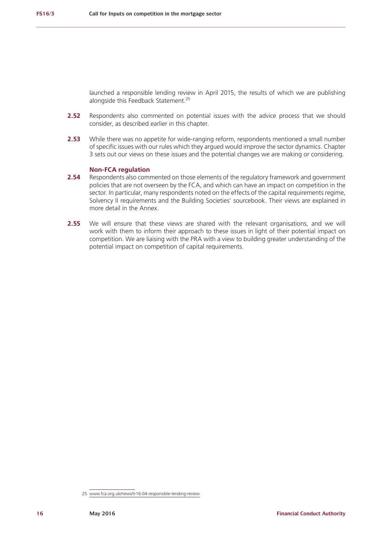launched a responsible lending review in April 2015, the results of which we are publishing alongside this Feedback Statement.<sup>25</sup>

- **2.52** Respondents also commented on potential issues with the advice process that we should consider, as described earlier in this chapter.
- **2.53** While there was no appetite for wide-ranging reform, respondents mentioned a small number of specific issues with our rules which they argued would improve the sector dynamics. Chapter 3 sets out our views on these issues and the potential changes we are making or considering.

#### **Non-FCA regulation**

- **2.54** Respondents also commented on those elements of the regulatory framework and government policies that are not overseen by the FCA, and which can have an impact on competition in the sector. In particular, many respondents noted on the effects of the capital requirements regime, Solvency II requirements and the Building Societies' sourcebook. Their views are explained in more detail in the Annex.
- **2.55** We will ensure that these views are shared with the relevant organisations, and we will work with them to inform their approach to these issues in light of their potential impact on competition. We are liaising with the PRA with a view to building greater understanding of the potential impact on competition of capital requirements.

<sup>25</sup> www.fca.org.uk/news/tr16-04-responsible-lending-review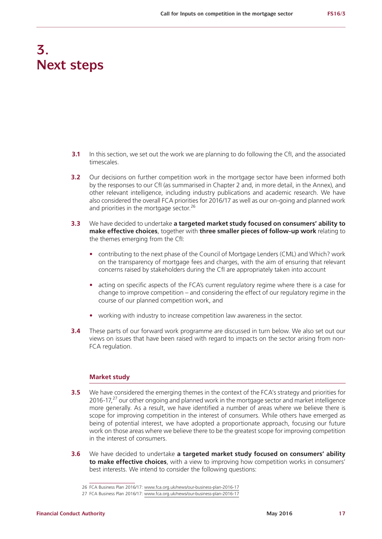### **3. Next steps**

- **3.1** In this section, we set out the work we are planning to do following the CfI, and the associated timescales.
- **3.2** Our decisions on further competition work in the mortgage sector have been informed both by the responses to our CfI (as summarised in Chapter 2 and, in more detail, in the Annex), and other relevant intelligence, including industry publications and academic research. We have also considered the overall FCA priorities for 2016/17 as well as our on-going and planned work and priorities in the mortgage sector.<sup>26</sup>
- **3.3** We have decided to undertake **a targeted market study focused on consumers' ability to make effective choices**, together with **three smaller pieces of follow-up work** relating to the themes emerging from the CfI:
	- **•** contributing to the next phase of the Council of Mortgage Lenders (CML) and Which? work on the transparency of mortgage fees and charges, with the aim of ensuring that relevant concerns raised by stakeholders during the CfI are appropriately taken into account
	- **•** acting on specific aspects of the FCA's current regulatory regime where there is a case for change to improve competition – and considering the effect of our regulatory regime in the course of our planned competition work, and
	- **•** working with industry to increase competition law awareness in the sector.
- **3.4** These parts of our forward work programme are discussed in turn below. We also set out our views on issues that have been raised with regard to impacts on the sector arising from non-FCA regulation.

#### **Market study**

- **3.5** We have considered the emerging themes in the context of the FCA's strategy and priorities for  $2016-17<sup>27</sup>$  our other ongoing and planned work in the mortgage sector and market intelligence more generally. As a result, we have identified a number of areas where we believe there is scope for improving competition in the interest of consumers. While others have emerged as being of potential interest, we have adopted a proportionate approach, focusing our future work on those areas where we believe there to be the greatest scope for improving competition in the interest of consumers.
- **3.6** We have decided to undertake **a targeted market study focused on consumers' ability to make effective choices**, with a view to improving how competition works in consumers' best interests. We intend to consider the following questions:

<sup>26</sup> FCA Business Plan 2016/17: <www.fca.org.uk/news/our-business-plan-2016-17>

<sup>27</sup> FCA Business Plan 2016/17: <www.fca.org.uk/news/our-business-plan-2016-17>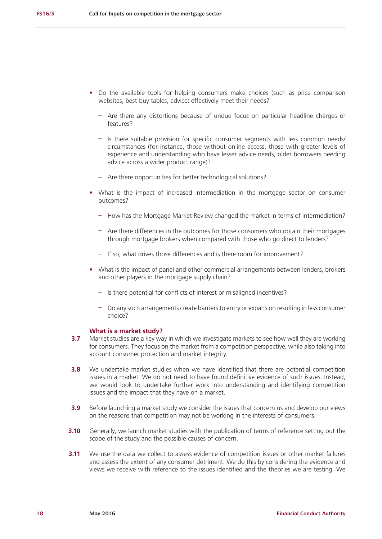- **•** Do the available tools for helping consumers make choices (such as price comparison websites, best-buy tables, advice) effectively meet their needs?
	- **–** Are there any distortions because of undue focus on particular headline charges or features?
	- **–** Is there suitable provision for specific consumer segments with less common needs/ circumstances (for instance, those without online access, those with greater levels of experience and understanding who have lesser advice needs, older borrowers needing advice across a wider product range)?
	- **–** Are there opportunities for better technological solutions?
- **•** What is the impact of increased intermediation in the mortgage sector on consumer outcomes?
	- **–** How has the Mortgage Market Review changed the market in terms of intermediation?
	- **–** Are there differences in the outcomes for those consumers who obtain their mortgages through mortgage brokers when compared with those who go direct to lenders?
	- **–** If so, what drives those differences and is there room for improvement?
- **•** What is the impact of panel and other commercial arrangements between lenders, brokers and other players in the mortgage supply chain?
	- **–** Is there potential for conflicts of interest or misaligned incentives?
	- **–** Do any such arrangements create barriers to entry or expansion resulting in less consumer choice?

#### **What is a market study?**

- **3.7** Market studies are a key way in which we investigate markets to see how well they are working for consumers. They focus on the market from a competition perspective, while also taking into account consumer protection and market integrity.
- **3.8** We undertake market studies when we have identified that there are potential competition issues in a market. We do not need to have found definitive evidence of such issues. Instead, we would look to undertake further work into understanding and identifying competition issues and the impact that they have on a market.
- **3.9** Before launching a market study we consider the issues that concern us and develop our views on the reasons that competition may not be working in the interests of consumers.
- **3.10** Generally, we launch market studies with the publication of terms of reference setting out the scope of the study and the possible causes of concern.
- **3.11** We use the data we collect to assess evidence of competition issues or other market failures and assess the extent of any consumer detriment. We do this by considering the evidence and views we receive with reference to the issues identified and the theories we are testing. We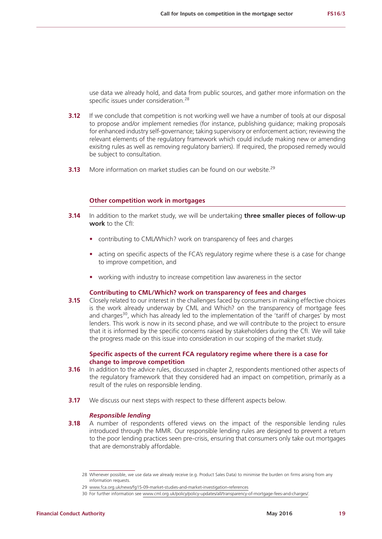use data we already hold, and data from public sources, and gather more information on the specific issues under consideration.<sup>28</sup>

- **3.12** If we conclude that competition is not working well we have a number of tools at our disposal to propose and/or implement remedies (for instance, publishing guidance; making proposals for enhanced industry self-governance; taking supervisory or enforcement action; reviewing the relevant elements of the regulatory framework which could include making new or amending exisitng rules as well as removing regulatory barriers). If required, the proposed remedy would be subject to consultation.
- **3.13** More information on market studies can be found on our website.<sup>29</sup>

#### **Other competition work in mortgages**

- **3.14** In addition to the market study, we will be undertaking **three smaller pieces of follow-up work** to the CfI:
	- **•** contributing to CML/Which? work on transparency of fees and charges
	- **•** acting on specific aspects of the FCA's regulatory regime where these is a case for change to improve competition, and
	- **•** working with industry to increase competition law awareness in the sector

#### **Contributing to CML/Which? work on transparency of fees and charges**

**3.15** Closely related to our interest in the challenges faced by consumers in making effective choices is the work already underway by CML and Which? on the transparency of mortgage fees and charges<sup>30</sup>, which has already led to the implementation of the 'tariff of charges' by most lenders. This work is now in its second phase, and we will contribute to the project to ensure that it is informed by the specific concerns raised by stakeholders during the CfI. We will take the progress made on this issue into consideration in our scoping of the market study.

#### **Specific aspects of the current FCA regulatory regime where there is a case for change to improve competition**

- **3.16** In addition to the advice rules, discussed in chapter 2, respondents mentioned other aspects of the regulatory framework that they considered had an impact on competition, primarily as a result of the rules on responsible lending.
- **3.17** We discuss our next steps with respect to these different aspects below.

#### *Responsible lending*

**3.18** A number of respondents offered views on the impact of the responsible lending rules introduced through the MMR. Our responsible lending rules are designed to prevent a return to the poor lending practices seen pre-crisis, ensuring that consumers only take out mortgages that are demonstrably affordable.

<sup>28</sup> Whenever possible, we use data we already receive (e.g. Product Sales Data) to minimise the burden on firms arising from any information requests.

<sup>29</sup> <www.fca.org.uk/news/fg15-09-market-studies-and-market-investigation-references>

<sup>30</sup> For further information see <www.cml.org.uk/policy/policy-updates/all/transparency-of-mortgage-fees-and-charges/>.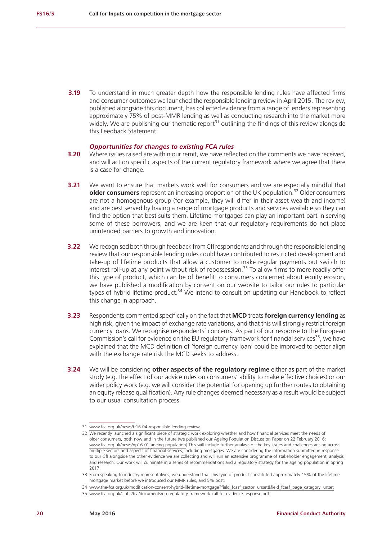**3.19** To understand in much greater depth how the responsible lending rules have affected firms and consumer outcomes we launched the responsible lending review in April 2015. The review, published alongside this document, has collected evidence from a range of lenders representing approximately 75% of post-MMR lending as well as conducting research into the market more widely. We are publishing our thematic report<sup>31</sup> outlining the findings of this review alongside this Feedback Statement.

#### *Opportunities for changes to existing FCA rules*

- **3.20** Where issues raised are within our remit, we have reflected on the comments we have received, and will act on specific aspects of the current regulatory framework where we agree that there is a case for change.
- **3.21** We want to ensure that markets work well for consumers and we are especially mindful that **older consumers** represent an increasing proportion of the UK population.<sup>32</sup> Older consumers are not a homogenous group (for example, they will differ in their asset wealth and income) and are best served by having a range of mortgage products and services available so they can find the option that best suits them. Lifetime mortgages can play an important part in serving some of these borrowers, and we are keen that our regulatory requirements do not place unintended barriers to growth and innovation.
- **3.22** We recognised both through feedback from CfI respondents and through the responsible lending review that our responsible lending rules could have contributed to restricted development and take-up of lifetime products that allow a customer to make regular payments but switch to interest roll-up at any point without risk of repossession.<sup>33</sup> To allow firms to more readily offer this type of product, which can be of benefit to consumers concerned about equity erosion, we have published a modification by consent on our website to tailor our rules to particular types of hybrid lifetime product.<sup>34</sup> We intend to consult on updating our Handbook to reflect this change in approach.
- **3.23** Respondents commented specifically on the fact that **MCD** treats **foreign currency lending** as high risk, given the impact of exchange rate variations, and that this will strongly restrict foreign currency loans. We recognise respondents' concerns. As part of our response to the European Commission's call for evidence on the EU regulatory framework for financial services<sup>35</sup>, we have explained that the MCD definition of 'foreign currency loan' could be improved to better align with the exchange rate risk the MCD seeks to address.
- **3.24** We will be considering **other aspects of the regulatory regime** either as part of the market study (e.g. the effect of our advice rules on consumers' ability to make effective choices) or our wider policy work (e.g. we will consider the potential for opening up further routes to obtaining an equity release qualification). Any rule changes deemed necessary as a result would be subject to our usual consultation process.

<sup>31</sup> www.fca.org.uk/news/tr16-04-responsible-lending-review

<sup>32</sup> We recently launched a significant piece of strategic work exploring whether and how financial services meet the needs of older consumers, both now and in the future (we published our Ageing Population Discussion Paper on 22 February 2016: [www.fca.org.uk/news/dp16-01-ageing-population\)](www.fca.org.uk/news/dp16-01-ageing-population) This will include further analysis of the key issues and challenges arising across multiple sectors and aspects of financial services, including mortgages. We are considering the information submitted in response to our CfI alongside the other evidence we are collecting and will run an extensive programme of stakeholder engagement, analysis and research. Our work will culminate in a series of recommendations and a regulatory strategy for the ageing population in Spring 2017.

<sup>33</sup> From speaking to industry representatives, we understand that this type of product constituted approximately 15% of the lifetime mortgage market before we introduced our MMR rules, and 5% post.

<sup>34</sup> [www.the-fca.org.uk/modification-consent-hybrid-lifetime-mortgage?field\\_fcasf\\_sector=unset&field\\_fcasf\\_page\\_category=unset](www.the-fca.org.uk/modification-consent-hybrid-lifetime-mortgage?field_fcasf_sector=unset&field_fcasf_page_category=unset)

<sup>35</sup> <www.fca.org.uk/static/fca/documents/eu-regulatory-framework-call-for-evidence-response.pdf>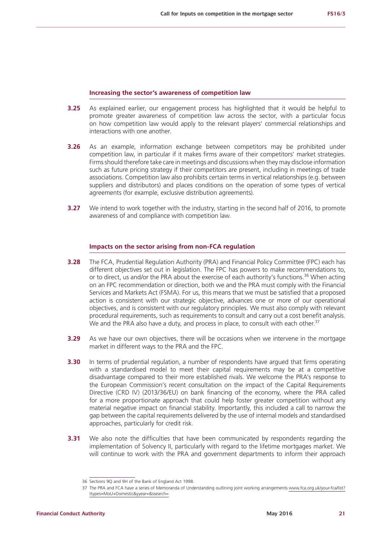#### **Increasing the sector's awareness of competition law**

- **3.25** As explained earlier, our engagement process has highlighted that it would be helpful to promote greater awareness of competition law across the sector, with a particular focus on how competition law would apply to the relevant players' commercial relationships and interactions with one another.
- **3.26** As an example, information exchange between competitors may be prohibited under competition law, in particular if it makes firms aware of their competitors' market strategies. Firms should therefore take care in meetings and discussions when they may disclose information such as future pricing strategy if their competitors are present, including in meetings of trade associations. Competition law also prohibits certain terms in vertical relationships (e.g. between suppliers and distributors) and places conditions on the operation of some types of vertical agreements (for example, exclusive distribution agreements).
- **3.27** We intend to work together with the industry, starting in the second half of 2016, to promote awareness of and compliance with competition law.

#### **Impacts on the sector arising from non-FCA regulation**

- **3.28** The FCA, Prudential Regulation Authority (PRA) and Financial Policy Committee (FPC) each has different objectives set out in legislation. The FPC has powers to make recommendations to, or to direct, us and/or the PRA about the exercise of each authority's functions.<sup>36</sup> When acting on an FPC recommendation or direction, both we and the PRA must comply with the Financial Services and Markets Act (FSMA). For us, this means that we must be satisfied that a proposed action is consistent with our strategic objective, advances one or more of our operational objectives, and is consistent with our regulatory principles. We must also comply with relevant procedural requirements, such as requirements to consult and carry out a cost benefit analysis. We and the PRA also have a duty, and process in place, to consult with each other.<sup>37</sup>
- **3.29** As we have our own objectives, there will be occasions when we intervene in the mortgage market in different ways to the PRA and the FPC.
- **3.30** In terms of prudential regulation, a number of respondents have argued that firms operating with a standardised model to meet their capital requirements may be at a competitive disadvantage compared to their more established rivals. We welcome the PRA's response to the European Commission's recent consultation on the impact of the Capital Requirements Directive (CRD IV) (2013/36/EU) on bank financing of the economy, where the PRA called for a more proportionate approach that could help foster greater competition without any material negative impact on financial stability. Importantly, this included a call to narrow the gap between the capital requirements delivered by the use of internal models and standardised approaches, particularly for credit risk.
- **3.31** We also note the difficulties that have been communicated by respondents regarding the implementation of Solvency II, particularly with regard to the lifetime mortgages market. We will continue to work with the PRA and government departments to inform their approach

<sup>36</sup> Sections 9Q and 9H of the Bank of England Act 1998.

<sup>37</sup> The PRA and FCA have a series of Memoranda of Understanding outlining joint working arrangements [www.fca.org.uk/your-fca/list?](www.fca.org.uk/your-fca/list?ttypes=MoU+Domestic&yyear=&ssearch=) [ttypes=MoU+Domestic&yyear=&ssearch=](www.fca.org.uk/your-fca/list?ttypes=MoU+Domestic&yyear=&ssearch=)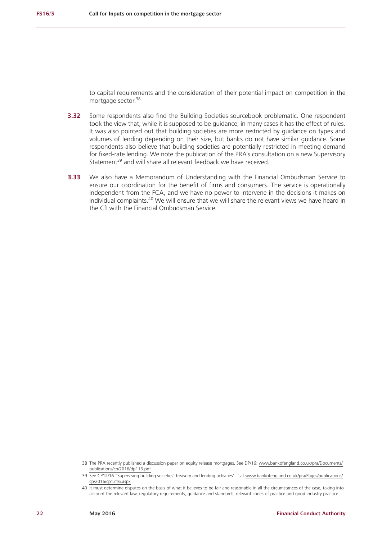to capital requirements and the consideration of their potential impact on competition in the mortgage sector.<sup>38</sup>

- **3.32** Some respondents also find the Building Societies sourcebook problematic. One respondent took the view that, while it is supposed to be guidance, in many cases it has the effect of rules. It was also pointed out that building societies are more restricted by guidance on types and volumes of lending depending on their size, but banks do not have similar guidance. Some respondents also believe that building societies are potentially restricted in meeting demand for fixed-rate lending. We note the publication of the PRA's consultation on a new Supervisory Statement<sup>39</sup> and will share all relevant feedback we have received.
- **3.33** We also have a Memorandum of Understanding with the Financial Ombudsman Service to ensure our coordination for the benefit of firms and consumers. The service is operationally independent from the FCA, and we have no power to intervene in the decisions it makes on individual complaints.40 We will ensure that we will share the relevant views we have heard in the CfI with the Financial Ombudsman Service.

<sup>38</sup> The PRA recently published a discussion paper on equity release mortgages. See DP/16: [www.bankofengland.co.uk/pra/Documents/](www.bankofengland.co.uk/pra/Documents/publications/cp/2016/dp116.pdf) [publications/cp/2016/dp116.pdf](www.bankofengland.co.uk/pra/Documents/publications/cp/2016/dp116.pdf)

<sup>39</sup> See CP12/16 ''Supervising building societies' treasury and lending activities' –' at [www.bankofengland.co.uk/pra/Pages/publications/](www.bankofengland.co.uk/pra/Pages/publications/cp/2016/cp1216.aspx) [cp/2016/cp1216.aspx](www.bankofengland.co.uk/pra/Pages/publications/cp/2016/cp1216.aspx)

<sup>40</sup> It must determine disputes on the basis of what it believes to be fair and reasonable in all the circumstances of the case, taking into account the relevant law, regulatory requirements, guidance and standards, relevant codes of practice and good industry practice.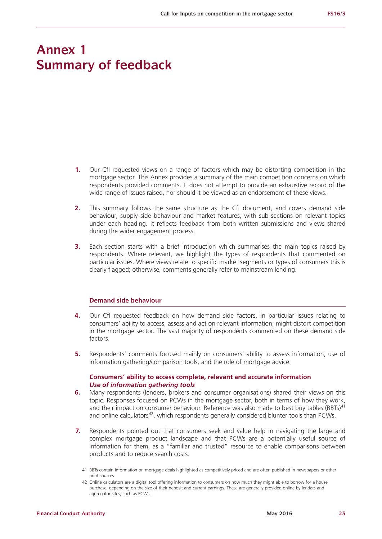### **Annex 1 Summary of feedback**

- **1.** Our CfI requested views on a range of factors which may be distorting competition in the mortgage sector. This Annex provides a summary of the main competition concerns on which respondents provided comments. It does not attempt to provide an exhaustive record of the wide range of issues raised, nor should it be viewed as an endorsement of these views.
- **2.** This summary follows the same structure as the CfI document, and covers demand side behaviour, supply side behaviour and market features, with sub-sections on relevant topics under each heading. It reflects feedback from both written submissions and views shared during the wider engagement process.
- **3.** Each section starts with a brief introduction which summarises the main topics raised by respondents. Where relevant, we highlight the types of respondents that commented on particular issues. Where views relate to specific market segments or types of consumers this is clearly flagged; otherwise, comments generally refer to mainstream lending.

#### **Demand side behaviour**

- **4.** Our CfI requested feedback on how demand side factors, in particular issues relating to consumers' ability to access, assess and act on relevant information, might distort competition in the mortgage sector. The vast majority of respondents commented on these demand side factors.
- **5.** Respondents' comments focused mainly on consumers' ability to assess information, use of information gathering/comparison tools, and the role of mortgage advice.

#### **Consumers' ability to access complete, relevant and accurate information** *Use of information gathering tools*

- **6.** Many respondents (lenders, brokers and consumer organisations) shared their views on this topic. Responses focused on PCWs in the mortgage sector, both in terms of how they work, and their impact on consumer behaviour. Reference was also made to best buy tables  $(BBTs)^{41}$ and online calculators<sup>42</sup>, which respondents generally considered blunter tools than PCWs.
- **7.** Respondents pointed out that consumers seek and value help in navigating the large and complex mortgage product landscape and that PCWs are a potentially useful source of information for them, as a "familiar and trusted" resource to enable comparisons between products and to reduce search costs.

<sup>41</sup> BBTs contain information on mortgage deals highlighted as competitively priced and are often published in newspapers or other print sources.

<sup>42</sup> Online calculators are a digital tool offering information to consumers on how much they might able to borrow for a house purchase, depending on the size of their deposit and current earnings. These are generally provided online by lenders and aggregator sites, such as PCWs.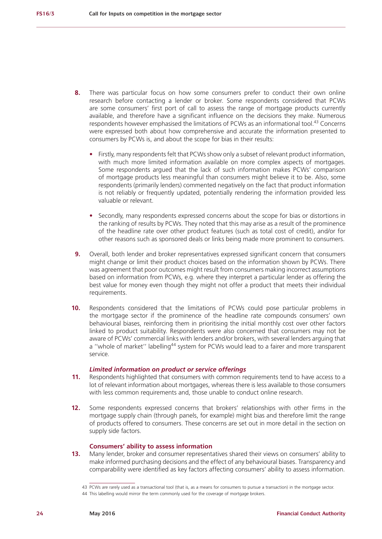- **8.** There was particular focus on how some consumers prefer to conduct their own online research before contacting a lender or broker. Some respondents considered that PCWs are some consumers' first port of call to assess the range of mortgage products currently available, and therefore have a significant influence on the decisions they make. Numerous respondents however emphasised the limitations of PCWs as an informational tool.<sup>43</sup> Concerns were expressed both about how comprehensive and accurate the information presented to consumers by PCWs is, and about the scope for bias in their results:
	- **•** Firstly, many respondents felt that PCWs show only a subset of relevant product information, with much more limited information available on more complex aspects of mortgages. Some respondents argued that the lack of such information makes PCWs' comparison of mortgage products less meaningful than consumers might believe it to be. Also, some respondents (primarily lenders) commented negatively on the fact that product information is not reliably or frequently updated, potentially rendering the information provided less valuable or relevant.
	- **•** Secondly, many respondents expressed concerns about the scope for bias or distortions in the ranking of results by PCWs. They noted that this may arise as a result of the prominence of the headline rate over other product features (such as total cost of credit), and/or for other reasons such as sponsored deals or links being made more prominent to consumers.
- **9.** Overall, both lender and broker representatives expressed significant concern that consumers might change or limit their product choices based on the information shown by PCWs. There was agreement that poor outcomes might result from consumers making incorrect assumptions based on information from PCWs, e.g. where they interpret a particular lender as offering the best value for money even though they might not offer a product that meets their individual requirements.
- **10.** Respondents considered that the limitations of PCWs could pose particular problems in the mortgage sector if the prominence of the headline rate compounds consumers' own behavioural biases, reinforcing them in prioritising the initial monthly cost over other factors linked to product suitability. Respondents were also concerned that consumers may not be aware of PCWs' commercial links with lenders and/or brokers, with several lenders arguing that a "whole of market" labelling<sup>44</sup> system for PCWs would lead to a fairer and more transparent service.

#### *Limited information on product or service offerings*

- **11.** Respondents highlighted that consumers with common requirements tend to have access to a lot of relevant information about mortgages, whereas there is less available to those consumers with less common requirements and, those unable to conduct online research.
- **12.** Some respondents expressed concerns that brokers' relationships with other firms in the mortgage supply chain (through panels, for example) might bias and therefore limit the range of products offered to consumers. These concerns are set out in more detail in the section on supply side factors.

#### **Consumers' ability to assess information**

**13.** Many lender, broker and consumer representatives shared their views on consumers' ability to make informed purchasing decisions and the effect of any behavioural biases. Transparency and comparability were identified as key factors affecting consumers' ability to assess information.

<sup>43</sup> PCWs are rarely used as a transactional tool (that is, as a means for consumers to pursue a transaction) in the mortgage sector.

<sup>44</sup> This labelling would mirror the term commonly used for the coverage of mortgage brokers.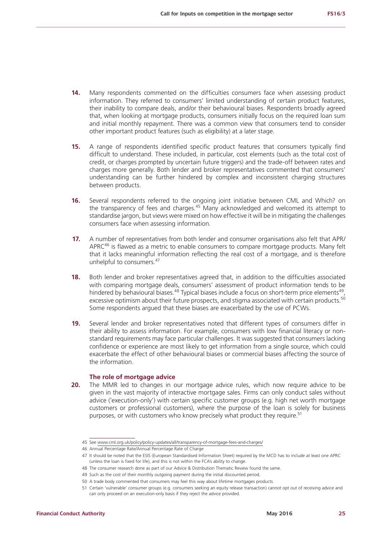- **14.** Many respondents commented on the difficulties consumers face when assessing product information. They referred to consumers' limited understanding of certain product features, their inability to compare deals, and/or their behavioural biases. Respondents broadly agreed that, when looking at mortgage products, consumers initially focus on the required loan sum and initial monthly repayment. There was a common view that consumers tend to consider other important product features (such as eligibility) at a later stage.
- **15.** A range of respondents identified specific product features that consumers typically find difficult to understand. These included, in particular, cost elements (such as the total cost of credit, or charges prompted by uncertain future triggers) and the trade-off between rates and charges more generally. Both lender and broker representatives commented that consumers' understanding can be further hindered by complex and inconsistent charging structures between products.
- **16.** Several respondents referred to the ongoing joint initiative between CML and Which? on the transparency of fees and charges.<sup>45</sup> Many acknowledged and welcomed its attempt to standardise jargon, but views were mixed on how effective it will be in mitigating the challenges consumers face when assessing information.
- **17.** A number of representatives from both lender and consumer organisations also felt that APR/  $APRC<sup>46</sup>$  is flawed as a metric to enable consumers to compare mortgage products. Many felt that it lacks meaningful information reflecting the real cost of a mortgage, and is therefore unhelpful to consumers.<sup>47</sup>
- **18.** Both lender and broker representatives agreed that, in addition to the difficulties associated with comparing mortgage deals, consumers' assessment of product information tends to be hindered by behavioural biases.<sup>48</sup> Typical biases include a focus on short-term price elements<sup>49</sup>. excessive optimism about their future prospects, and stigma associated with certain products.<sup>50</sup> Some respondents argued that these biases are exacerbated by the use of PCWs.
- **19.** Several lender and broker representatives noted that different types of consumers differ in their ability to assess information. For example, consumers with low financial literacy or nonstandard requirements may face particular challenges. It was suggested that consumers lacking confidence or experience are most likely to get information from a single source, which could exacerbate the effect of other behavioural biases or commercial biases affecting the source of the information.

#### **The role of mortgage advice**

**20.** The MMR led to changes in our mortgage advice rules, which now require advice to be given in the vast majority of interactive mortgage sales. Firms can only conduct sales without advice ('execution-only') with certain specific customer groups (e.g. high net worth mortgage customers or professional customers), where the purpose of the loan is solely for business purposes, or with customers who know precisely what product they require.<sup>51</sup>

<sup>45</sup> See <www.cml.org.uk/policy/policy-updates/all/transparency-of-mortgage-fees-and-charges/>

<sup>46</sup> Annual Percentage Rate/Annual Percentage Rate of Charge

<sup>47</sup> It should be noted that the ESIS (European Standardised Information Sheet) required by the MCD has to include at least one APRC (unless the loan is fixed for life), and this is not within the FCA's ability to change.

<sup>48</sup> The consumer research done as part of our Advice & Distribution Thematic Review found the same.

<sup>49</sup> Such as the cost of their monthly outgoing payment during the initial discounted period.

<sup>50</sup> A trade body commented that consumers may feel this way about lifetime mortgages products.

<sup>51</sup> Certain 'vulnerable' consumer groups (e.g. consumers seeking an equity release transaction) cannot opt out of receiving advice and can only proceed on an execution-only basis if they reject the advice provided.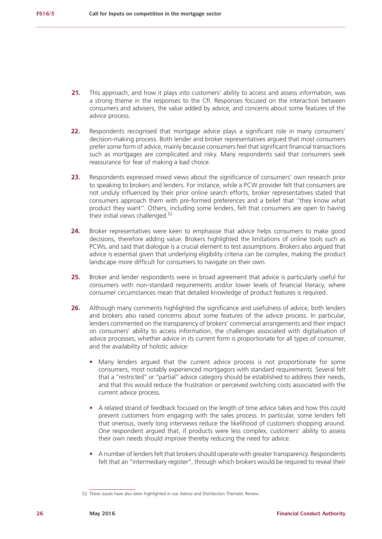- **21.** This approach, and how it plays into customers' ability to access and assess information, was a strong theme in the responses to the CfI. Responses focused on the interaction between consumers and advisers, the value added by advice, and concerns about some features of the advice process.
- **22.** Respondents recognised that mortgage advice plays a significant role in many consumers' decision-making process. Both lender and broker representatives argued that most consumers prefer some form of advice, mainly because consumers feel that significant financial transactions such as mortgages are complicated and risky. Many respondents said that consumers seek reassurance for fear of making a bad choice.
- **23.** Respondents expressed mixed views about the significance of consumers' own research prior to speaking to brokers and lenders. For instance, while a PCW provider felt that consumers are not unduly influenced by their prior online search efforts, broker representatives stated that consumers approach them with pre-formed preferences and a belief that ''they know what product they want''. Others, including some lenders, felt that consumers are open to having their initial views challenged.<sup>52</sup>
- **24.** Broker representatives were keen to emphasise that advice helps consumers to make good decisions, therefore adding value. Brokers highlighted the limitations of online tools such as PCWs, and said that dialogue is a crucial element to test assumptions. Brokers also argued that advice is essential given that underlying eligibility criteria can be complex, making the product landscape more difficult for consumers to navigate on their own.
- **25.** Broker and lender respondents were in broad agreement that advice is particularly useful for consumers with non-standard requirements and/or lower levels of financial literacy, where consumer circumstances mean that detailed knowledge of product features is required.
- **26.** Although many comments highlighted the significance and usefulness of advice, both lenders and brokers also raised concerns about some features of the advice process. In particular, lenders commented on the transparency of brokers' commercial arrangements and their impact on consumers' ability to access information, the challenges associated with digitalisation of advice processes, whether advice in its current form is proportionate for all types of consumer, and the availability of holistic advice:
	- **•** Many lenders argued that the current advice process is not proportionate for some consumers, most notably experienced mortgagors with standard requirements. Several felt that a ''restricted'' or ''partial'' advice category should be established to address their needs, and that this would reduce the frustration or perceived switching costs associated with the current advice process.
	- **•** A related strand of feedback focused on the length of time advice takes and how this could prevent customers from engaging with the sales process. In particular, some lenders felt that onerous, overly long interviews reduce the likelihood of customers shopping around. One respondent argued that, if products were less complex, customers' ability to assess their own needs should improve thereby reducing the need for advice.
	- **•** A number of lenders felt that brokers should operate with greater transparency. Respondents felt that an ''intermediary register'', through which brokers would be required to reveal their

<sup>52</sup> These issues have also been highlighted in our Advice and Distribution Thematic Review.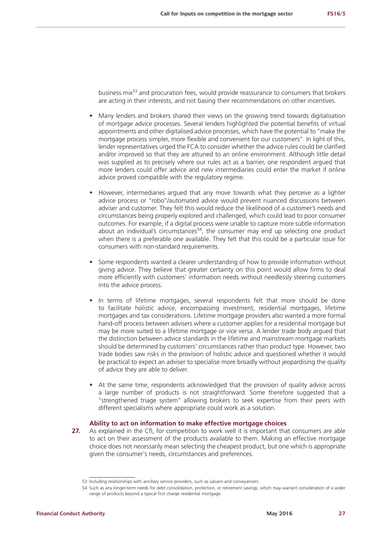business mix<sup>53</sup> and procuration fees, would provide reassurance to consumers that brokers are acting in their interests, and not basing their recommendations on other incentives.

- **•** Many lenders and brokers shared their views on the growing trend towards digitalisation of mortgage advice processes. Several lenders highlighted the potential benefits of virtual appointments and other digitalised advice processes, which have the potential to ''make the mortgage process simpler, more flexible and convenient for our customers''. In light of this, lender representatives urged the FCA to consider whether the advice rules could be clarified and/or improved so that they are attuned to an online environment. Although little detail was supplied as to precisely where our rules act as a barrier, one respondent argued that more lenders could offer advice and new intermediaries could enter the market if online advice proved compatible with the regulatory regime.
- **•** However, intermediaries argued that any move towards what they perceive as a lighter advice process or ''robo''/automated advice would prevent nuanced discussions between adviser and customer. They felt this would reduce the likelihood of a customer's needs and circumstances being properly explored and challenged, which could lead to poor consumer outcomes. For example, if a digital process were unable to capture more subtle information about an individual's circumstances<sup>54</sup>, the consumer may end up selecting one product when there is a preferable one available. They felt that this could be a particular issue for consumers with non-standard requirements.
- **•** Some respondents wanted a clearer understanding of how to provide information without giving advice. They believe that greater certainty on this point would allow firms to deal more efficiently with customers' information needs without needlessly steering customers into the advice process.
- **•** In terms of lifetime mortgages, several respondents felt that more should be done to facilitate holistic advice, encompassing investment, residential mortgages, lifetime mortgages and tax considerations. Lifetime mortgage providers also wanted a more formal hand-off process between advisers where a customer applies for a residential mortgage but may be more suited to a lifetime mortgage or vice versa. A lender trade body argued that the distinction between advice standards in the lifetime and mainstream mortgage markets should be determined by customers' circumstances rather than product type. However, two trade bodies saw risks in the provision of holistic advice and questioned whether it would be practical to expect an adviser to specialise more broadly without jeopardising the quality of advice they are able to deliver.
- **•** At the same time, respondents acknowledged that the provision of quality advice across a large number of products is not straightforward. Some therefore suggested that a ''strengthened triage system'' allowing brokers to seek expertise from their peers with different specialisms where appropriate could work as a solution.

#### **Ability to act on information to make effective mortgage choices**

**27.** As explained in the CfI, for competition to work well it is important that consumers are able to act on their assessment of the products available to them. Making an effective mortgage choice does not necessarily mean selecting the cheapest product, but one which is appropriate given the consumer's needs, circumstances and preferences.

<sup>53</sup> Including relationships with ancillary service providers, such as valuers and conveyancers.

<sup>54</sup> Such as any longer-term needs for debt consolidation, protection, or retirement savings, which may warrant consideration of a wider range of products beyond a typical first charge residential mortgage.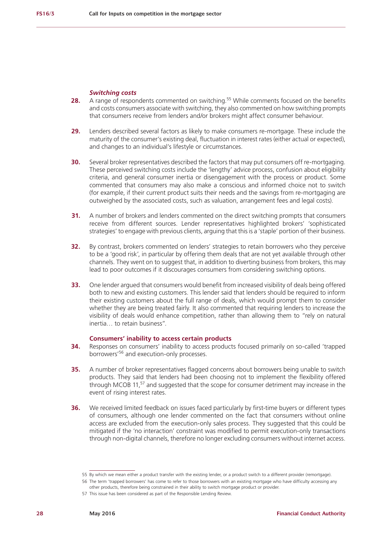#### *Switching costs*

- **28.** A range of respondents commented on switching.<sup>55</sup> While comments focused on the benefits and costs consumers associate with switching, they also commented on how switching prompts that consumers receive from lenders and/or brokers might affect consumer behaviour.
- **29.** Lenders described several factors as likely to make consumers re-mortgage. These include the maturity of the consumer's existing deal, fluctuation in interest rates (either actual or expected), and changes to an individual's lifestyle or circumstances.
- **30.** Several broker representatives described the factors that may put consumers off re-mortgaging. These perceived switching costs include the 'lengthy' advice process, confusion about eligibility criteria, and general consumer inertia or disengagement with the process or product. Some commented that consumers may also make a conscious and informed choice not to switch (for example, if their current product suits their needs and the savings from re-mortgaging are outweighed by the associated costs, such as valuation, arrangement fees and legal costs).
- **31.** A number of brokers and lenders commented on the direct switching prompts that consumers receive from different sources. Lender representatives highlighted brokers' 'sophisticated strategies' to engage with previous clients, arguing that this is a 'staple' portion of their business.
- **32.** By contrast, brokers commented on lenders' strategies to retain borrowers who they perceive to be a 'good risk', in particular by offering them deals that are not yet available through other channels. They went on to suggest that, in addition to diverting business from brokers, this may lead to poor outcomes if it discourages consumers from considering switching options.
- **33.** One lender argued that consumers would benefit from increased visibility of deals being offered both to new and existing customers. This lender said that lenders should be required to inform their existing customers about the full range of deals, which would prompt them to consider whether they are being treated fairly. It also commented that requiring lenders to increase the visibility of deals would enhance competition, rather than allowing them to "rely on natural inertia… to retain business".

#### **Consumers' inability to access certain products**

- **34.** Responses on consumers' inability to access products focused primarily on so-called 'trapped borrowers'56 and execution-only processes.
- **35.** A number of broker representatives flagged concerns about borrowers being unable to switch products. They said that lenders had been choosing not to implement the flexibility offered through MCOB 11,<sup>57</sup> and suggested that the scope for consumer detriment may increase in the event of rising interest rates.
- **36.** We received limited feedback on issues faced particularly by first-time buyers or different types of consumers, although one lender commented on the fact that consumers without online access are excluded from the execution-only sales process. They suggested that this could be mitigated if the 'no interaction' constraint was modified to permit execution-only transactions through non-digital channels, therefore no longer excluding consumers without internet access.

<sup>55</sup> By which we mean either a product transfer with the existing lender, or a product switch to a different provider (remortgage).

<sup>56</sup> The term 'trapped borrowers' has come to refer to those borrowers with an existing mortgage who have difficulty accessing any other products, therefore being constrained in their ability to switch mortgage product or provider.

<sup>57</sup> This issue has been considered as part of the Responsible Lending Review.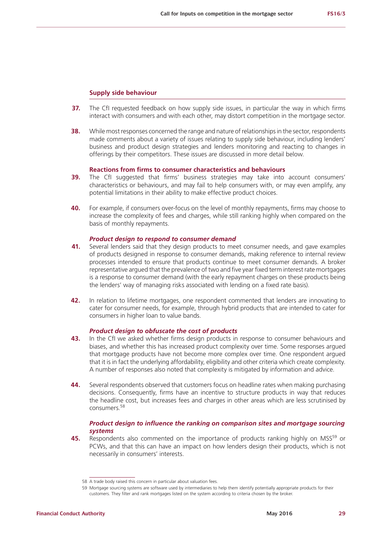#### **Supply side behaviour**

- **37.** The CfI requested feedback on how supply side issues, in particular the way in which firms interact with consumers and with each other, may distort competition in the mortgage sector.
- **38.** While most responses concerned the range and nature of relationships in the sector, respondents made comments about a variety of issues relating to supply side behaviour, including lenders' business and product design strategies and lenders monitoring and reacting to changes in offerings by their competitors. These issues are discussed in more detail below.

#### **Reactions from firms to consumer characteristics and behaviours**

- **39.** The CfI suggested that firms' business strategies may take into account consumers' characteristics or behaviours, and may fail to help consumers with, or may even amplify, any potential limitations in their ability to make effective product choices.
- **40.** For example, if consumers over-focus on the level of monthly repayments, firms may choose to increase the complexity of fees and charges, while still ranking highly when compared on the basis of monthly repayments.

#### *Product design to respond to consumer demand*

- **41.** Several lenders said that they design products to meet consumer needs, and gave examples of products designed in response to consumer demands, making reference to internal review processes intended to ensure that products continue to meet consumer demands. A broker representative argued that the prevalence of two and five year fixed term interest rate mortgages is a response to consumer demand (with the early repayment charges on these products being the lenders' way of managing risks associated with lending on a fixed rate basis).
- **42.** In relation to lifetime mortgages, one respondent commented that lenders are innovating to cater for consumer needs, for example, through hybrid products that are intended to cater for consumers in higher loan to value bands.

#### *Product design to obfuscate the cost of products*

- **43.** In the CfI we asked whether firms design products in response to consumer behaviours and biases, and whether this has increased product complexity over time. Some responses argued that mortgage products have not become more complex over time. One respondent argued that it is in fact the underlying affordability, eligibility and other criteria which create complexity. A number of responses also noted that complexity is mitigated by information and advice.
- **44.** Several respondents observed that customers focus on headline rates when making purchasing decisions. Consequently, firms have an incentive to structure products in way that reduces the headline cost, but increases fees and charges in other areas which are less scrutinised by consumers.58

#### *Product design to influence the ranking on comparison sites and mortgage sourcing systems*

**45.** Respondents also commented on the importance of products ranking highly on MSS<sup>59</sup> or PCWs, and that this can have an impact on how lenders design their products, which is not necessarily in consumers' interests.

<sup>58</sup> A trade body raised this concern in particular about valuation fees.

<sup>59</sup> Mortgage sourcing systems are software used by intermediaries to help them identify potentially appropriate products for their customers. They filter and rank mortgages listed on the system according to criteria chosen by the broker.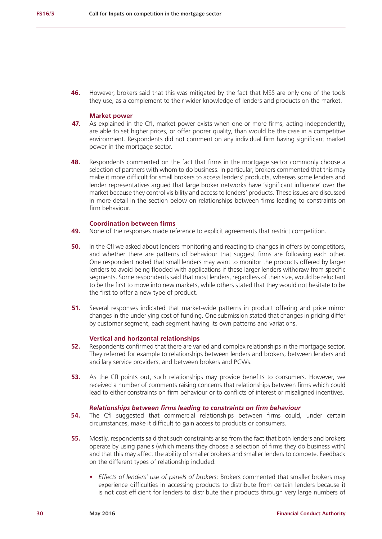**46.** However, brokers said that this was mitigated by the fact that MSS are only one of the tools they use, as a complement to their wider knowledge of lenders and products on the market.

#### **Market power**

- **47.** As explained in the CfI, market power exists when one or more firms, acting independently, are able to set higher prices, or offer poorer quality, than would be the case in a competitive environment. Respondents did not comment on any individual firm having significant market power in the mortgage sector.
- **48.** Respondents commented on the fact that firms in the mortgage sector commonly choose a selection of partners with whom to do business. In particular, brokers commented that this may make it more difficult for small brokers to access lenders' products, whereas some lenders and lender representatives argued that large broker networks have 'significant influence' over the market because they control visibility and access to lenders' products. These issues are discussed in more detail in the section below on relationships between firms leading to constraints on firm behaviour

#### **Coordination between firms**

- **49.** None of the responses made reference to explicit agreements that restrict competition.
- **50.** In the CfI we asked about lenders monitoring and reacting to changes in offers by competitors, and whether there are patterns of behaviour that suggest firms are following each other. One respondent noted that small lenders may want to monitor the products offered by larger lenders to avoid being flooded with applications if these larger lenders withdraw from specific segments. Some respondents said that most lenders, regardless of their size, would be reluctant to be the first to move into new markets, while others stated that they would not hesitate to be the first to offer a new type of product.
- **51.** Several responses indicated that market-wide patterns in product offering and price mirror changes in the underlying cost of funding. One submission stated that changes in pricing differ by customer segment, each segment having its own patterns and variations.

#### **Vertical and horizontal relationships**

- **52.** Respondents confirmed that there are varied and complex relationships in the mortgage sector. They referred for example to relationships between lenders and brokers, between lenders and ancillary service providers, and between brokers and PCWs.
- **53.** As the CfI points out, such relationships may provide benefits to consumers. However, we received a number of comments raising concerns that relationships between firms which could lead to either constraints on firm behaviour or to conflicts of interest or misaligned incentives.

#### *Relationships between firms leading to constraints on firm behaviour*

- **54.** The CfI suggested that commercial relationships between firms could, under certain circumstances, make it difficult to gain access to products or consumers.
- **55.** Mostly, respondents said that such constraints arise from the fact that both lenders and brokers operate by using panels (which means they choose a selection of firms they do business with) and that this may affect the ability of smaller brokers and smaller lenders to compete. Feedback on the different types of relationship included:
	- **•** *Effects of lenders' use of panels of brokers*: Brokers commented that smaller brokers may experience difficulties in accessing products to distribute from certain lenders because it is not cost efficient for lenders to distribute their products through very large numbers of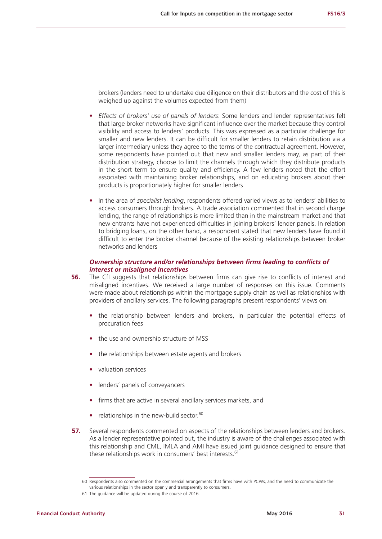brokers (lenders need to undertake due diligence on their distributors and the cost of this is weighed up against the volumes expected from them)

- **•** *Effects of brokers' use of panels of lenders*: Some lenders and lender representatives felt that large broker networks have significant influence over the market because they control visibility and access to lenders' products. This was expressed as a particular challenge for smaller and new lenders. It can be difficult for smaller lenders to retain distribution via a larger intermediary unless they agree to the terms of the contractual agreement. However, some respondents have pointed out that new and smaller lenders may, as part of their distribution strategy, choose to limit the channels through which they distribute products in the short term to ensure quality and efficiency. A few lenders noted that the effort associated with maintaining broker relationships, and on educating brokers about their products is proportionately higher for smaller lenders
- **•** In the area of *specialist lending*, respondents offered varied views as to lenders' abilities to access consumers through brokers. A trade association commented that in second charge lending, the range of relationships is more limited than in the mainstream market and that new entrants have not experienced difficulties in joining brokers' lender panels. In relation to bridging loans, on the other hand, a respondent stated that new lenders have found it difficult to enter the broker channel because of the existing relationships between broker networks and lenders

#### *Ownership structure and/or relationships between firms leading to conflicts of interest or misaligned incentives*

- **56.** The CfI suggests that relationships between firms can give rise to conflicts of interest and misaligned incentives. We received a large number of responses on this issue. Comments were made about relationships within the mortgage supply chain as well as relationships with providers of ancillary services. The following paragraphs present respondents' views on:
	- **•** the relationship between lenders and brokers, in particular the potential effects of procuration fees
	- **•** the use and ownership structure of MSS
	- **•** the relationships between estate agents and brokers
	- **•** valuation services
	- **•** lenders' panels of conveyancers
	- **•** firms that are active in several ancillary services markets, and
	- relationships in the new-build sector.<sup>60</sup>
- **57.** Several respondents commented on aspects of the relationships between lenders and brokers. As a lender representative pointed out, the industry is aware of the challenges associated with this relationship and CML, IMLA and AMI have issued joint guidance designed to ensure that these relationships work in consumers' best interests.<sup>61</sup>

<sup>60</sup> Respondents also commented on the commercial arrangements that firms have with PCWs, and the need to communicate the various relationships in the sector openly and transparently to consumers.

<sup>61</sup> The guidance will be updated during the course of 2016.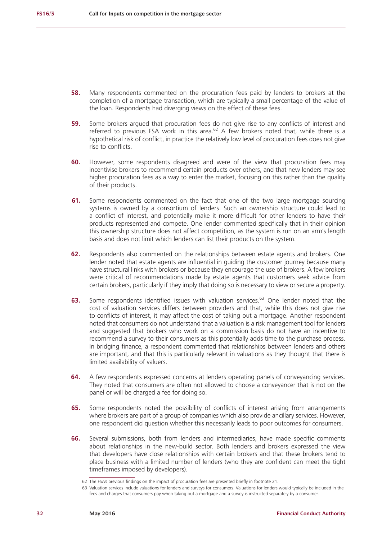- **58.** Many respondents commented on the procuration fees paid by lenders to brokers at the completion of a mortgage transaction, which are typically a small percentage of the value of the loan. Respondents had diverging views on the effect of these fees.
- **59.** Some brokers argued that procuration fees do not give rise to any conflicts of interest and referred to previous FSA work in this area.<sup>62</sup> A few brokers noted that, while there is a hypothetical risk of conflict, in practice the relatively low level of procuration fees does not give rise to conflicts.
- **60.** However, some respondents disagreed and were of the view that procuration fees may incentivise brokers to recommend certain products over others, and that new lenders may see higher procuration fees as a way to enter the market, focusing on this rather than the quality of their products.
- **61.** Some respondents commented on the fact that one of the two large mortgage sourcing systems is owned by a consortium of lenders. Such an ownership structure could lead to a conflict of interest, and potentially make it more difficult for other lenders to have their products represented and compete. One lender commented specifically that in their opinion this ownership structure does not affect competition, as the system is run on an arm's length basis and does not limit which lenders can list their products on the system.
- **62.** Respondents also commented on the relationships between estate agents and brokers. One lender noted that estate agents are influential in guiding the customer journey because many have structural links with brokers or because they encourage the use of brokers. A few brokers were critical of recommendations made by estate agents that customers seek advice from certain brokers, particularly if they imply that doing so is necessary to view or secure a property.
- **63.** Some respondents identified issues with valuation services.<sup>63</sup> One lender noted that the cost of valuation services differs between providers and that, while this does not give rise to conflicts of interest, it may affect the cost of taking out a mortgage. Another respondent noted that consumers do not understand that a valuation is a risk management tool for lenders and suggested that brokers who work on a commission basis do not have an incentive to recommend a survey to their consumers as this potentially adds time to the purchase process. In bridging finance, a respondent commented that relationships between lenders and others are important, and that this is particularly relevant in valuations as they thought that there is limited availability of valuers.
- **64.** A few respondents expressed concerns at lenders operating panels of conveyancing services. They noted that consumers are often not allowed to choose a conveyancer that is not on the panel or will be charged a fee for doing so.
- **65.** Some respondents noted the possibility of conflicts of interest arising from arrangements where brokers are part of a group of companies which also provide ancillary services. However, one respondent did question whether this necessarily leads to poor outcomes for consumers.
- **66.** Several submissions, both from lenders and intermediaries, have made specific comments about relationships in the new-build sector. Both lenders and brokers expressed the view that developers have close relationships with certain brokers and that these brokers tend to place business with a limited number of lenders (who they are confident can meet the tight timeframes imposed by developers).

<sup>62</sup> The FSA's previous findings on the impact of procuration fees are presented briefly in footnote 21.

<sup>63</sup> Valuation services include valuations for lenders and surveys for consumers. Valuations for lenders would typically be included in the fees and charges that consumers pay when taking out a mortgage and a survey is instructed separately by a consumer.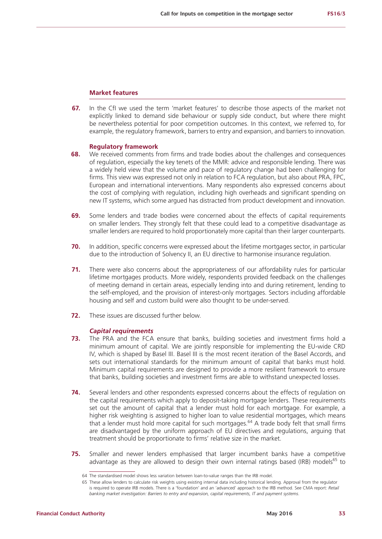#### **Market features**

**67.** In the CfI we used the term 'market features' to describe those aspects of the market not explicitly linked to demand side behaviour or supply side conduct, but where there might be nevertheless potential for poor competition outcomes. In this context, we referred to, for example, the regulatory framework, barriers to entry and expansion, and barriers to innovation.

#### **Regulatory framework**

- **68.** We received comments from firms and trade bodies about the challenges and consequences of regulation, especially the key tenets of the MMR: advice and responsible lending. There was a widely held view that the volume and pace of regulatory change had been challenging for firms. This view was expressed not only in relation to FCA regulation, but also about PRA, FPC, European and international interventions. Many respondents also expressed concerns about the cost of complying with regulation, including high overheads and significant spending on new IT systems, which some argued has distracted from product development and innovation.
- **69.** Some lenders and trade bodies were concerned about the effects of capital requirements on smaller lenders. They strongly felt that these could lead to a competitive disadvantage as smaller lenders are required to hold proportionately more capital than their larger counterparts.
- **70.** In addition, specific concerns were expressed about the lifetime mortgages sector, in particular due to the introduction of Solvency II, an EU directive to harmonise insurance regulation.
- **71.** There were also concerns about the appropriateness of our affordability rules for particular lifetime mortgages products. More widely, respondents provided feedback on the challenges of meeting demand in certain areas, especially lending into and during retirement, lending to the self-employed, and the provision of interest-only mortgages. Sectors including affordable housing and self and custom build were also thought to be under-served.
- **72.** These issues are discussed further below.

#### *Capital requirements*

- **73.** The PRA and the FCA ensure that banks, building societies and investment firms hold a minimum amount of capital. We are jointly responsible for implementing the EU-wide CRD IV, which is shaped by Basel III. Basel III is the most recent iteration of the Basel Accords, and sets out international standards for the minimum amount of capital that banks must hold. Minimum capital requirements are designed to provide a more resilient framework to ensure that banks, building societies and investment firms are able to withstand unexpected losses.
- 74. Several lenders and other respondents expressed concerns about the effects of regulation on the capital requirements which apply to deposit-taking mortgage lenders. These requirements set out the amount of capital that a lender must hold for each mortgage. For example, a higher risk weighting is assigned to higher loan to value residential mortgages, which means that a lender must hold more capital for such mortgages.<sup>64</sup> A trade body felt that small firms are disadvantaged by the uniform approach of EU directives and regulations, arguing that treatment should be proportionate to firms' relative size in the market.
- **75.** Smaller and newer lenders emphasised that larger incumbent banks have a competitive advantage as they are allowed to design their own internal ratings based (IRB) models<sup>65</sup> to

<sup>64</sup> The standardised model shows less variation between loan-to-value ranges than the IRB model.

<sup>65</sup> These allow lenders to calculate risk weights using existing internal data including historical lending. Approval from the regulator is required to operate IRB models. There is a 'foundation' and an 'advanced' approach to the IRB method. See CMA report: *Retail banking market investigation: Barriers to entry and expansion, capital requirements, IT and payment systems*.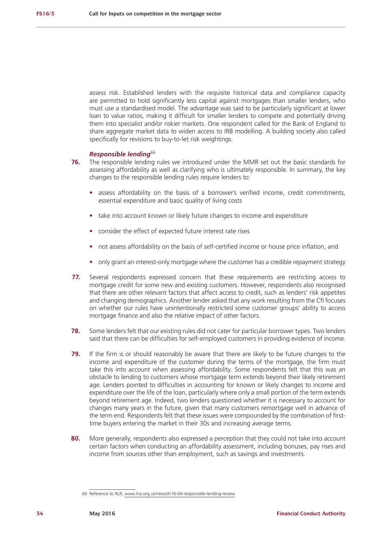assess risk. Established lenders with the requisite historical data and compliance capacity are permitted to hold significantly less capital against mortgages than smaller lenders, who must use a standardised model. The advantage was said to be particularly significant at lower loan to value ratios, making it difficult for smaller lenders to compete and potentially driving them into specialist and/or riskier markets. One respondent called for the Bank of England to share aggregate market data to widen access to IRB modelling. A building society also called specifically for revisions to buy-to-let risk weightings.

#### *Responsible lending*<sup>66</sup>

- **76.** The responsible lending rules we introduced under the MMR set out the basic standards for assessing affordability as well as clarifying who is ultimately responsible. In summary, the key changes to the responsible lending rules require lenders to:
	- **•** assess affordability on the basis of a borrower's verified income, credit commitments, essential expenditure and basic quality of living costs
	- **•** take into account known or likely future changes to income and expenditure
	- **•** consider the effect of expected future interest rate rises
	- **•** not assess affordability on the basis of self-certified income or house price inflation, and
	- **•** only grant an interest-only mortgage where the customer has a credible repayment strategy
- **77.** Several respondents expressed concern that these requirements are restricting access to mortgage credit for some new and existing customers. However, respondents also recognised that there are other relevant factors that affect access to credit, such as lenders' risk appetites and changing demographics. Another lender asked that any work resulting from the CfI focuses on whether our rules have unintentionally restricted some customer groups' ability to access mortgage finance and also the relative impact of other factors.
- **78.** Some lenders felt that our existing rules did not cater for particular borrower types. Two lenders said that there can be difficulties for self-employed customers in providing evidence of income.
- **79.** If the firm is or should reasonably be aware that there are likely to be future changes to the income and expenditure of the customer during the terms of the mortgage, the firm must take this into account when assessing affordability. Some respondents felt that this was an obstacle to lending to customers whose mortgage term extends beyond their likely retirement age. Lenders pointed to difficulties in accounting for known or likely changes to income and expenditure over the life of the loan, particularly where only a small portion of the term extends beyond retirement age. Indeed, two lenders questioned whether it is necessary to account for changes many years in the future, given that many customers remortgage well in advance of the term end. Respondents felt that these issues were compounded by the combination of firsttime buyers entering the market in their 30s and increasing average terms.
- **80.** More generally, respondents also expressed a perception that they could not take into account certain factors when conducting an affordability assessment, including bonuses, pay rises and income from sources other than employment, such as savings and investments.

<sup>66</sup> Reference to RLR; www.fca.org.uk/news/tr16-04-responsible-lending-review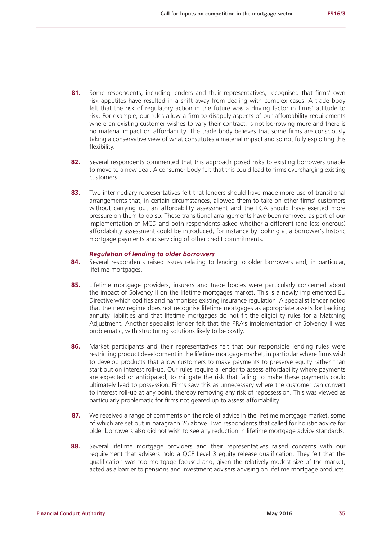- 81. Some respondents, including lenders and their representatives, recognised that firms' own risk appetites have resulted in a shift away from dealing with complex cases. A trade body felt that the risk of regulatory action in the future was a driving factor in firms' attitude to risk. For example, our rules allow a firm to disapply aspects of our affordability requirements where an existing customer wishes to vary their contract, is not borrowing more and there is no material impact on affordability. The trade body believes that some firms are consciously taking a conservative view of what constitutes a material impact and so not fully exploiting this flexibility.
- **82.** Several respondents commented that this approach posed risks to existing borrowers unable to move to a new deal. A consumer body felt that this could lead to firms overcharging existing customers.
- **83.** Two intermediary representatives felt that lenders should have made more use of transitional arrangements that, in certain circumstances, allowed them to take on other firms' customers without carrying out an affordability assessment and the FCA should have exerted more pressure on them to do so. These transitional arrangements have been removed as part of our implementation of MCD and both respondents asked whether a different (and less onerous) affordability assessment could be introduced, for instance by looking at a borrower's historic mortgage payments and servicing of other credit commitments.

#### *Regulation of lending to older borrowers*

- **84.** Several respondents raised issues relating to lending to older borrowers and, in particular, lifetime mortgages.
- **85.** Lifetime mortgage providers, insurers and trade bodies were particularly concerned about the impact of Solvency II on the lifetime mortgages market. This is a newly implemented EU Directive which codifies and harmonises existing insurance regulation. A specialist lender noted that the new regime does not recognise lifetime mortgages as appropriate assets for backing annuity liabilities and that lifetime mortgages do not fit the eligibility rules for a Matching Adjustment. Another specialist lender felt that the PRA's implementation of Solvency II was problematic, with structuring solutions likely to be costly.
- **86.** Market participants and their representatives felt that our responsible lending rules were restricting product development in the lifetime mortgage market, in particular where firms wish to develop products that allow customers to make payments to preserve equity rather than start out on interest roll-up. Our rules require a lender to assess affordability where payments are expected or anticipated, to mitigate the risk that failing to make these payments could ultimately lead to possession. Firms saw this as unnecessary where the customer can convert to interest roll-up at any point, thereby removing any risk of repossession. This was viewed as particularly problematic for firms not geared up to assess affordability.
- **87.** We received a range of comments on the role of advice in the lifetime mortgage market, some of which are set out in paragraph 26 above. Two respondents that called for holistic advice for older borrowers also did not wish to see any reduction in lifetime mortgage advice standards.
- **88.** Several lifetime mortgage providers and their representatives raised concerns with our requirement that advisers hold a QCF Level 3 equity release qualification. They felt that the qualification was too mortgage-focused and, given the relatively modest size of the market, acted as a barrier to pensions and investment advisers advising on lifetime mortgage products.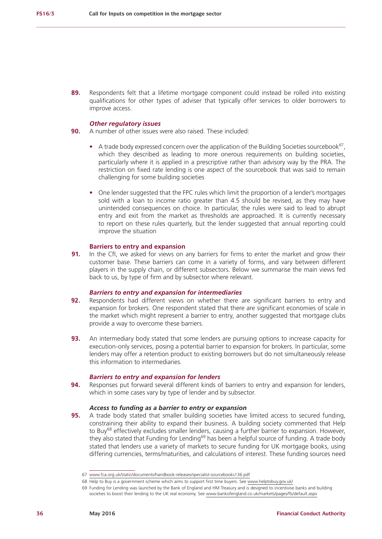**89.** Respondents felt that a lifetime mortgage component could instead be rolled into existing qualifications for other types of adviser that typically offer services to older borrowers to improve access.

#### *Other regulatory issues*

- **90.** A number of other issues were also raised. These included:
	- A trade body expressed concern over the application of the Building Societies sourcebook<sup>67</sup>, which they described as leading to more onerous requirements on building societies. particularly where it is applied in a prescriptive rather than advisory way by the PRA. The restriction on fixed rate lending is one aspect of the sourcebook that was said to remain challenging for some building societies
	- One lender suggested that the FPC rules which limit the proportion of a lender's mortgages sold with a loan to income ratio greater than 4.5 should be revised, as they may have unintended consequences on choice. In particular, the rules were said to lead to abrupt entry and exit from the market as thresholds are approached. It is currently necessary to report on these rules quarterly, but the lender suggested that annual reporting could improve the situation

#### **Barriers to entry and expansion**

**91.** In the CfI, we asked for views on any barriers for firms to enter the market and grow their customer base. These barriers can come in a variety of forms, and vary between different players in the supply chain, or different subsectors. Below we summarise the main views fed back to us, by type of firm and by subsector where relevant.

#### *Barriers to entry and expansion for intermediaries*

- **92.** Respondents had different views on whether there are significant barriers to entry and expansion for brokers. One respondent stated that there are significant economies of scale in the market which might represent a barrier to entry, another suggested that mortgage clubs provide a way to overcome these barriers.
- **93.** An intermediary body stated that some lenders are pursuing options to increase capacity for execution-only services, posing a potential barrier to expansion for brokers. In particular, some lenders may offer a retention product to existing borrowers but do not simultaneously release this information to intermediaries.

#### *Barriers to entry and expansion for lenders*

**94.** Responses put forward several different kinds of barriers to entry and expansion for lenders, which in some cases vary by type of lender and by subsector.

#### *Access to funding as a barrier to entry or expansion*

**95.** A trade body stated that smaller building societies have limited access to secured funding, constraining their ability to expand their business. A building society commented that Help to Buy<sup>68</sup> effectively excludes smaller lenders, causing a further barrier to expansion. However, they also stated that Funding for Lending<sup>69</sup> has been a helpful source of funding. A trade body stated that lenders use a variety of markets to secure funding for UK mortgage books, using differing currencies, terms/maturities, and calculations of interest. These funding sources need

<sup>67</sup> <www.fca.org.uk/static/documents/handbook-releases/specialist-sourcebooks136.pdf>

<sup>68</sup> Help to Buy is a government scheme which aims to support first time buyers. See <www.helptobuy.gov.uk/>

<sup>69</sup> Funding for Lending was launched by the Bank of England and HM Treasury and is designed to incentivise banks and building societies to boost their lending to the UK real economy. See<www.bankofengland.co.uk/markets/pages/fls/default.aspx>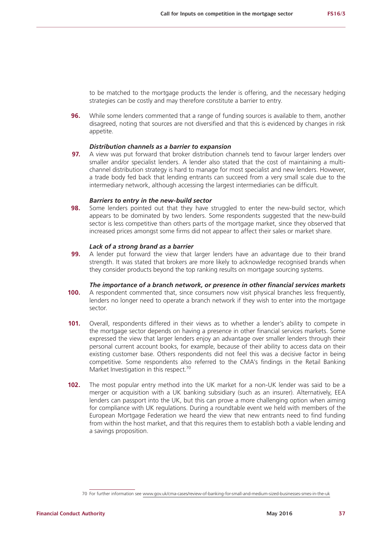to be matched to the mortgage products the lender is offering, and the necessary hedging strategies can be costly and may therefore constitute a barrier to entry.

**96.** While some lenders commented that a range of funding sources is available to them, another disagreed, noting that sources are not diversified and that this is evidenced by changes in risk appetite.

#### *Distribution channels as a barrier to expansion*

**97.** A view was put forward that broker distribution channels tend to favour larger lenders over smaller and/or specialist lenders. A lender also stated that the cost of maintaining a multichannel distribution strategy is hard to manage for most specialist and new lenders. However, a trade body fed back that lending entrants can succeed from a very small scale due to the intermediary network, although accessing the largest intermediaries can be difficult.

#### *Barriers to entry in the new-build sector*

**98.** Some lenders pointed out that they have struggled to enter the new-build sector, which appears to be dominated by two lenders. Some respondents suggested that the new-build sector is less competitive than others parts of the mortgage market, since they observed that increased prices amongst some firms did not appear to affect their sales or market share.

#### *Lack of a strong brand as a barrier*

**99.** A lender put forward the view that larger lenders have an advantage due to their brand strength. It was stated that brokers are more likely to acknowledge recognised brands when they consider products beyond the top ranking results on mortgage sourcing systems.

#### *The importance of a branch network, or presence in other financial services markets*

- **100.** A respondent commented that, since consumers now visit physical branches less frequently. lenders no longer need to operate a branch network if they wish to enter into the mortgage sector.
- **101.** Overall, respondents differed in their views as to whether a lender's ability to compete in the mortgage sector depends on having a presence in other financial services markets. Some expressed the view that larger lenders enjoy an advantage over smaller lenders through their personal current account books, for example, because of their ability to access data on their existing customer base. Others respondents did not feel this was a decisive factor in being competitive. Some respondents also referred to the CMA's findings in the Retail Banking Market Investigation in this respect.<sup>70</sup>
- **102.** The most popular entry method into the UK market for a non-UK lender was said to be a merger or acquisition with a UK banking subsidiary (such as an insurer). Alternatively, EEA lenders can passport into the UK, but this can prove a more challenging option when aiming for compliance with UK regulations. During a roundtable event we held with members of the European Mortgage Federation we heard the view that new entrants need to find funding from within the host market, and that this requires them to establish both a viable lending and a savings proposition.

<sup>70</sup> For further information see <www.gov.uk/cma-cases/review-of-banking-for-small-and-medium-sized-businesses-smes-in-the-uk>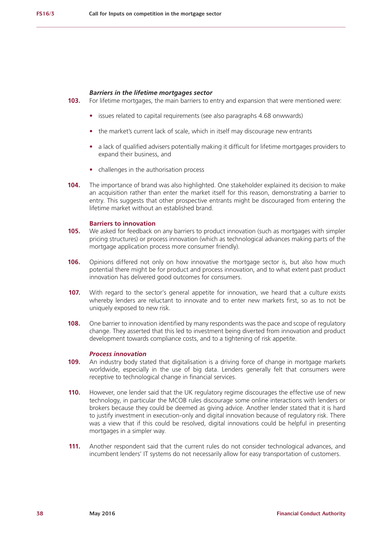#### *Barriers in the lifetime mortgages sector*

- **103.** For lifetime mortgages, the main barriers to entry and expansion that were mentioned were:
	- **•** issues related to capital requirements (see also paragraphs 4.68 onwwards)
	- **•** the market's current lack of scale, which in itself may discourage new entrants
	- a lack of qualified advisers potentially making it difficult for lifetime mortgages providers to expand their business, and
	- **•** challenges in the authorisation process
- **104.** The importance of brand was also highlighted. One stakeholder explained its decision to make an acquisition rather than enter the market itself for this reason, demonstrating a barrier to entry. This suggests that other prospective entrants might be discouraged from entering the lifetime market without an established brand.

#### **Barriers to innovation**

- **105.** We asked for feedback on any barriers to product innovation (such as mortgages with simpler pricing structures) or process innovation (which as technological advances making parts of the mortgage application process more consumer friendly).
- **106.** Opinions differed not only on how innovative the mortgage sector is, but also how much potential there might be for product and process innovation, and to what extent past product innovation has delivered good outcomes for consumers.
- **107.** With regard to the sector's general appetite for innovation, we heard that a culture exists whereby lenders are reluctant to innovate and to enter new markets first, so as to not be uniquely exposed to new risk.
- **108.** One barrier to innovation identified by many respondents was the pace and scope of regulatory change. They asserted that this led to investment being diverted from innovation and product development towards compliance costs, and to a tightening of risk appetite.

#### *Process innovation*

- **109.** An industry body stated that digitalisation is a driving force of change in mortgage markets worldwide, especially in the use of big data. Lenders generally felt that consumers were receptive to technological change in financial services.
- **110.** However, one lender said that the UK regulatory regime discourages the effective use of new technology, in particular the MCOB rules discourage some online interactions with lenders or brokers because they could be deemed as giving advice. Another lender stated that it is hard to justify investment in execution-only and digital innovation because of regulatory risk. There was a view that if this could be resolved, digital innovations could be helpful in presenting mortgages in a simpler way.
- **111.** Another respondent said that the current rules do not consider technological advances, and incumbent lenders' IT systems do not necessarily allow for easy transportation of customers.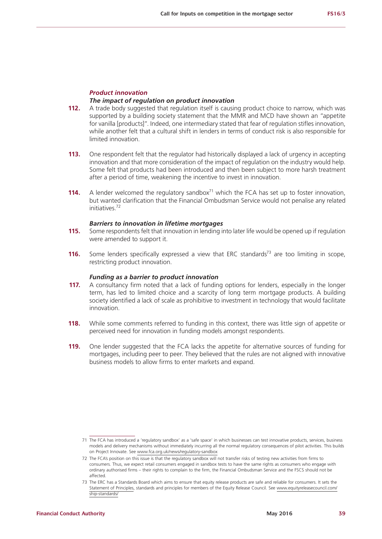### *Product innovation*

#### *The impact of regulation on product innovation*

- **112.** A trade body suggested that regulation itself is causing product choice to narrow, which was supported by a building society statement that the MMR and MCD have shown an "appetite for vanilla [products]". Indeed, one intermediary stated that fear of regulation stifles innovation, while another felt that a cultural shift in lenders in terms of conduct risk is also responsible for limited innovation.
- **113.** One respondent felt that the regulator had historically displayed a lack of urgency in accepting innovation and that more consideration of the impact of regulation on the industry would help. Some felt that products had been introduced and then been subject to more harsh treatment after a period of time, weakening the incentive to invest in innovation.
- **114.** A lender welcomed the regulatory sandbox<sup>71</sup> which the FCA has set up to foster innovation, but wanted clarification that the Financial Ombudsman Service would not penalise any related initiatives.72

#### *Barriers to innovation in lifetime mortgages*

- **115.** Some respondents felt that innovation in lending into later life would be opened up if regulation were amended to support it.
- **116.** Some lenders specifically expressed a view that ERC standards<sup>73</sup> are too limiting in scope, restricting product innovation.

#### *Funding as a barrier to product innovation*

- **117.** A consultancy firm noted that a lack of funding options for lenders, especially in the longer term, has led to limited choice and a scarcity of long term mortgage products. A building society identified a lack of scale as prohibitive to investment in technology that would facilitate innovation.
- **118.** While some comments referred to funding in this context, there was little sign of appetite or perceived need for innovation in funding models amongst respondents.
- **119.** One lender suggested that the FCA lacks the appetite for alternative sources of funding for mortgages, including peer to peer. They believed that the rules are not aligned with innovative business models to allow firms to enter markets and expand.

<sup>71</sup> The FCA has introduced a 'regulatory sandbox' as a 'safe space' in which businesses can test innovative products, services, business models and delivery mechanisms without immediately incurring all the normal regulatory consequences of pilot activities. This builds on Project Innovate. See <www.fca.org.uk/news/regulatory-sandbox>

<sup>72</sup> The FCA's position on this issue is that the regulatory sandbox will not transfer risks of testing new activities from firms to consumers. Thus, we expect retail consumers engaged in sandbox tests to have the same rights as consumers who engage with ordinary authorised firms – their rights to complain to the firm, the Financial Ombudsman Service and the FSCS should not be affected.

<sup>73</sup> The ERC has a Standards Board which aims to ensure that equity release products are safe and reliable for consumers. It sets the [Statement of Principles](http://www.equityreleasecouncil.com/ship-standards/statement-of-principles/), standards and principles for members of the Equity Release Council. See [www.equityreleasecouncil.com/](www.equityreleasecouncil.com/ship-standards/) [ship-standards/](www.equityreleasecouncil.com/ship-standards/)